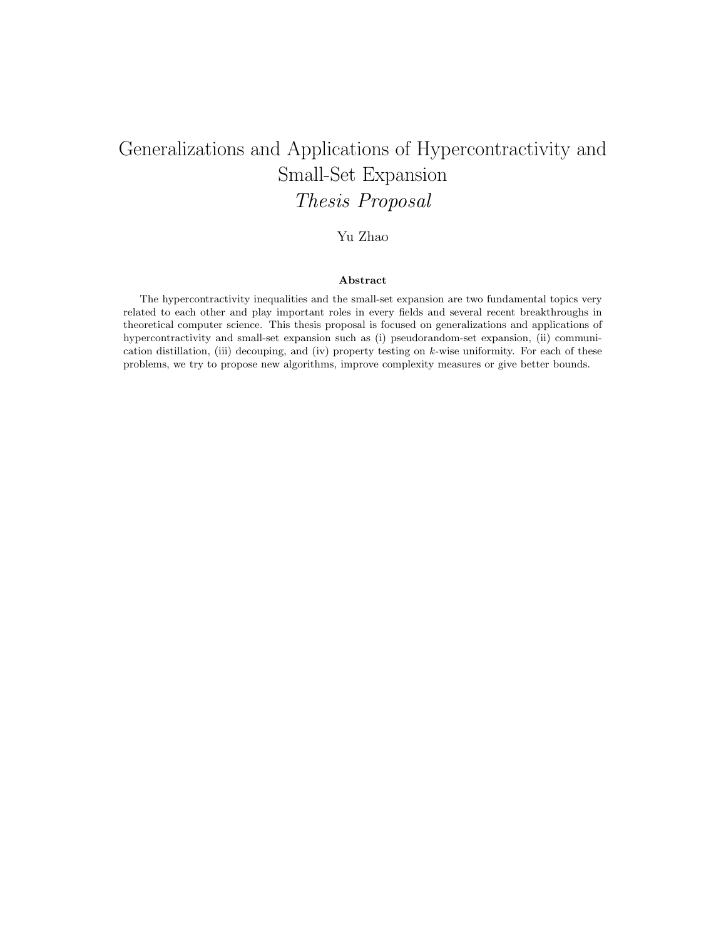# Generalizations and Applications of Hypercontractivity and Small-Set Expansion Thesis Proposal

# Yu Zhao

### Abstract

The hypercontractivity inequalities and the small-set expansion are two fundamental topics very related to each other and play important roles in every fields and several recent breakthroughs in theoretical computer science. This thesis proposal is focused on generalizations and applications of hypercontractivity and small-set expansion such as (i) pseudorandom-set expansion, (ii) communication distillation, (iii) decouping, and (iv) property testing on  $k$ -wise uniformity. For each of these problems, we try to propose new algorithms, improve complexity measures or give better bounds.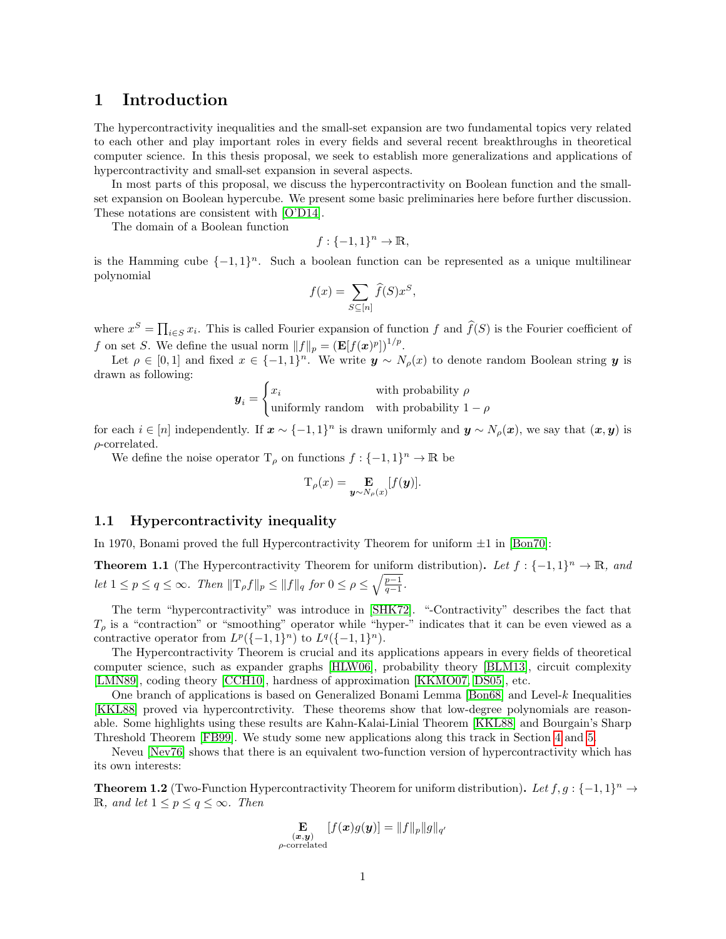# 1 Introduction

The hypercontractivity inequalities and the small-set expansion are two fundamental topics very related to each other and play important roles in every fields and several recent breakthroughs in theoretical computer science. In this thesis proposal, we seek to establish more generalizations and applications of hypercontractivity and small-set expansion in several aspects.

In most parts of this proposal, we discuss the hypercontractivity on Boolean function and the smallset expansion on Boolean hypercube. We present some basic preliminaries here before further discussion. These notations are consistent with [\[O'D14\]](#page-23-0).

The domain of a Boolean function

$$
f: \{-1,1\}^n \to \mathbb{R},
$$

is the Hamming cube  $\{-1,1\}^n$ . Such a boolean function can be represented as a unique multilinear polynomial

$$
f(x) = \sum_{S \subseteq [n]} \widehat{f}(S)x^S,
$$

where  $x^S = \prod_{i \in S} x_i$ . This is called Fourier expansion of function f and  $\widehat{f}(S)$  is the Fourier coefficient of f on set S. We define the usual norm  $||f||_p = (\mathbf{E}[f(\boldsymbol{x})^p])^{1/p}$ .

Let  $\rho \in [0,1]$  and fixed  $x \in \{-1,1\}^n$ . We write  $y \sim N_\rho(x)$  to denote random Boolean string y is drawn as following:

$$
\mathbf{y}_i = \begin{cases} x_i & \text{with probability } \rho \\ \text{uniformly random} & \text{with probability } 1 - \rho \end{cases}
$$

for each  $i \in [n]$  independently. If  $\mathbf{x} \sim \{-1,1\}^n$  is drawn uniformly and  $\mathbf{y} \sim N_\rho(\mathbf{x})$ , we say that  $(\mathbf{x}, \mathbf{y})$  is  $\rho$ -correlated.

We define the noise operator  $T_\rho$  on functions  $f: \{-1,1\}^n \to \mathbb{R}$  be

 $\rho$ -

$$
T_{\rho}(x) = \mathop{\mathbf{E}}_{\boldsymbol{y} \sim N_{\rho}(x)}[f(\boldsymbol{y})].
$$

# 1.1 Hypercontractivity inequality

In 1970, Bonami proved the full Hypercontractivity Theorem for uniform  $\pm 1$  in [\[Bon70\]](#page-20-0):

**Theorem 1.1** (The Hypercontractivity Theorem for uniform distribution). Let  $f: \{-1,1\}^n \to \mathbb{R}$ , and let  $1 \leq p \leq q \leq \infty$ . Then  $||\mathcal{T}_{\rho}f||_p \leq ||f||_q$  for  $0 \leq \rho \leq \sqrt{\frac{p-1}{q-1}}$ .

The term "hypercontractivity" was introduce in [\[SHK72\]](#page-23-1). "-Contractivity" describes the fact that  $T_{\rho}$  is a "contraction" or "smoothing" operator while "hyper-" indicates that it can be even viewed as a contractive operator from  $L^p({-1,1}^n)$  to  $L^q({-1,1}^n)$ .

The Hypercontractivity Theorem is crucial and its applications appears in every fields of theoretical computer science, such as expander graphs [\[HLW06\]](#page-21-0), probability theory [\[BLM13\]](#page-20-1), circuit complexity [\[LMN89\]](#page-22-0), coding theory [\[CCH10\]](#page-20-2), hardness of approximation [\[KKMO07,](#page-22-1) [DS05\]](#page-21-1), etc.

One branch of applications is based on Generalized Bonami Lemma [\[Bon68\]](#page-20-3) and Level-k Inequalities [\[KKL88\]](#page-22-2) proved via hypercontrctivity. These theorems show that low-degree polynomials are reasonable. Some highlights using these results are Kahn-Kalai-Linial Theorem [\[KKL88\]](#page-22-2) and Bourgain's Sharp Threshold Theorem [\[FB99\]](#page-21-2). We study some new applications along this track in Section [4](#page-9-0) and [5.](#page-14-0)

Neveu [\[Nev76\]](#page-23-2) shows that there is an equivalent two-function version of hypercontractivity which has its own interests:

<span id="page-1-0"></span>**Theorem 1.2** (Two-Function Hypercontractivity Theorem for uniform distribution). Let  $f, g: \{-1, 1\}^n \to$ R, and let  $1 \leq p \leq q \leq \infty$ . Then

$$
\mathop{\mathbf{E}}_{\substack{(\boldsymbol{x},\boldsymbol{y})\\\text{correlated}}} [f(\boldsymbol{x})g(\boldsymbol{y})] = \|f\|_p \|g\|_{q'}
$$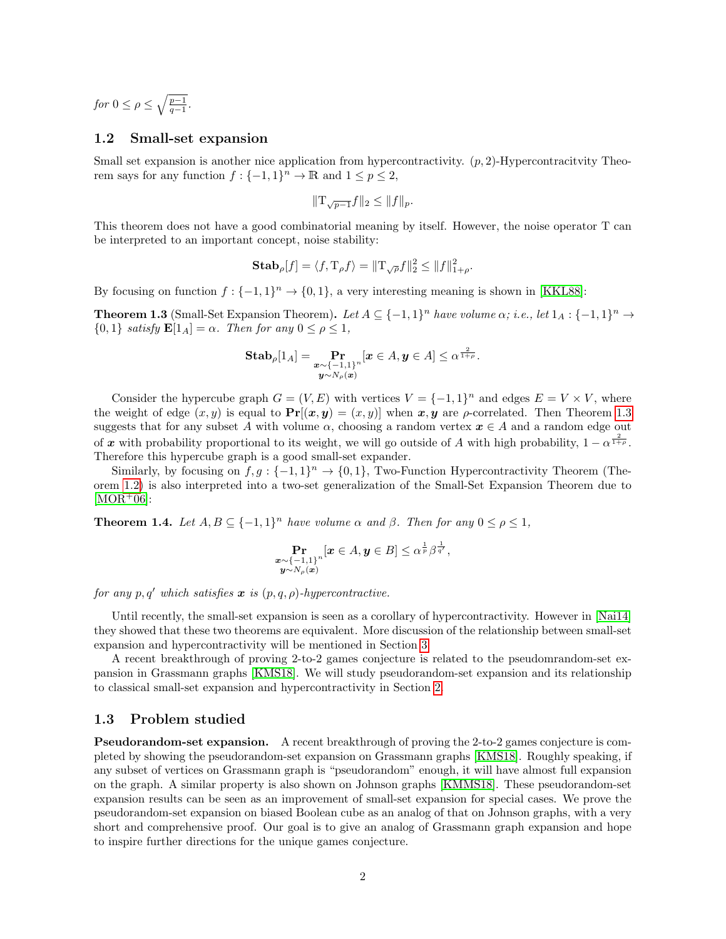for  $0 \leq \rho \leq \sqrt{\frac{p-1}{q-1}}$ .

### 1.2 Small-set expansion

Small set expansion is another nice application from hypercontractivity.  $(p, 2)$ -Hypercontractivity Theorem says for any function  $f: \{-1,1\}^n \to \mathbb{R}$  and  $1 \leq p \leq 2$ ,

$$
||T_{\sqrt{p-1}}f||_2 \leq ||f||_p.
$$

This theorem does not have a good combinatorial meaning by itself. However, the noise operator T can be interpreted to an important concept, noise stability:

**Stab**<sub>$$
\rho
$$</sub>[f] =  $\langle f, \mathrm{T}_{\rho} f \rangle = ||\mathrm{T}_{\sqrt{\rho}} f||_2^2 \le ||f||_{1+\rho}^2$ .

By focusing on function  $f: \{-1,1\}^n \to \{0,1\}$ , a very interesting meaning is shown in [\[KKL88\]](#page-22-2):

<span id="page-2-0"></span>**Theorem 1.3** (Small-Set Expansion Theorem). Let  $A \subseteq \{-1,1\}^n$  have volume  $\alpha$ ; i.e., let  $1_A : \{-1,1\}^n \to$  $\{0,1\}$  satisfy  $\mathbf{E}[1_A] = \alpha$ . Then for any  $0 \le \rho \le 1$ ,

$$
\textbf{Stab}_{\rho}[1_A] = \Pr_{\substack{\boldsymbol{x} \sim \{-1,1\}^n \\ \boldsymbol{y} \sim N_{\rho}(\boldsymbol{x})}} [\boldsymbol{x} \in A, \boldsymbol{y} \in A] \leq \alpha^{\frac{2}{1+\rho}}.
$$

Consider the hypercube graph  $G = (V, E)$  with vertices  $V = \{-1, 1\}^n$  and edges  $E = V \times V$ , where the weight of edge  $(x, y)$  is equal to  $\Pr[(x, y) = (x, y)]$  when  $x, y$  are  $\rho$ -correlated. Then Theorem [1.3](#page-2-0) suggests that for any subset A with volume  $\alpha$ , choosing a random vertex  $x \in A$  and a random edge out of x with probability proportional to its weight, we will go outside of A with high probability,  $1 - \alpha^{\frac{2}{1+\rho}}$ . Therefore this hypercube graph is a good small-set expander.

Similarly, by focusing on  $f, g: \{-1, 1\}^n \to \{0, 1\}$ , Two-Function Hypercontractivity Theorem (Theorem [1.2\)](#page-1-0) is also interpreted into a two-set generalization of the Small-Set Expansion Theorem due to  $[MOR<sup>+</sup>06]$  $[MOR<sup>+</sup>06]$ :

**Theorem 1.4.** Let  $A, B \subseteq \{-1, 1\}^n$  have volume  $\alpha$  and  $\beta$ . Then for any  $0 \le \rho \le 1$ ,

$$
\Pr_{\substack{{\boldsymbol x}\sim\{-1,1\}^n\\ {\boldsymbol y}\sim N_\rho({\boldsymbol x})}}[{\boldsymbol x}\in A,{\boldsymbol y}\in B]\leq \alpha^{\frac{1}{p}}\beta^{\frac{1}{q'}},
$$

for any p, q' which satisfies x is  $(p, q, \rho)$ -hypercontractive.

Until recently, the small-set expansion is seen as a corollary of hypercontractivity. However in [\[Nai14\]](#page-23-4) they showed that these two theorems are equivalent. More discussion of the relationship between small-set expansion and hypercontractivity will be mentioned in Section [3.](#page-6-0)

A recent breakthrough of proving 2-to-2 games conjecture is related to the pseudomrandom-set expansion in Grassmann graphs [\[KMS18\]](#page-22-3). We will study pseudorandom-set expansion and its relationship to classical small-set expansion and hypercontractivity in Section [2.](#page-4-0)

### 1.3 Problem studied

Pseudorandom-set expansion. A recent breakthrough of proving the 2-to-2 games conjecture is completed by showing the pseudorandom-set expansion on Grassmann graphs [\[KMS18\]](#page-22-3). Roughly speaking, if any subset of vertices on Grassmann graph is "pseudorandom" enough, it will have almost full expansion on the graph. A similar property is also shown on Johnson graphs [\[KMMS18\]](#page-22-4). These pseudorandom-set expansion results can be seen as an improvement of small-set expansion for special cases. We prove the pseudorandom-set expansion on biased Boolean cube as an analog of that on Johnson graphs, with a very short and comprehensive proof. Our goal is to give an analog of Grassmann graph expansion and hope to inspire further directions for the unique games conjecture.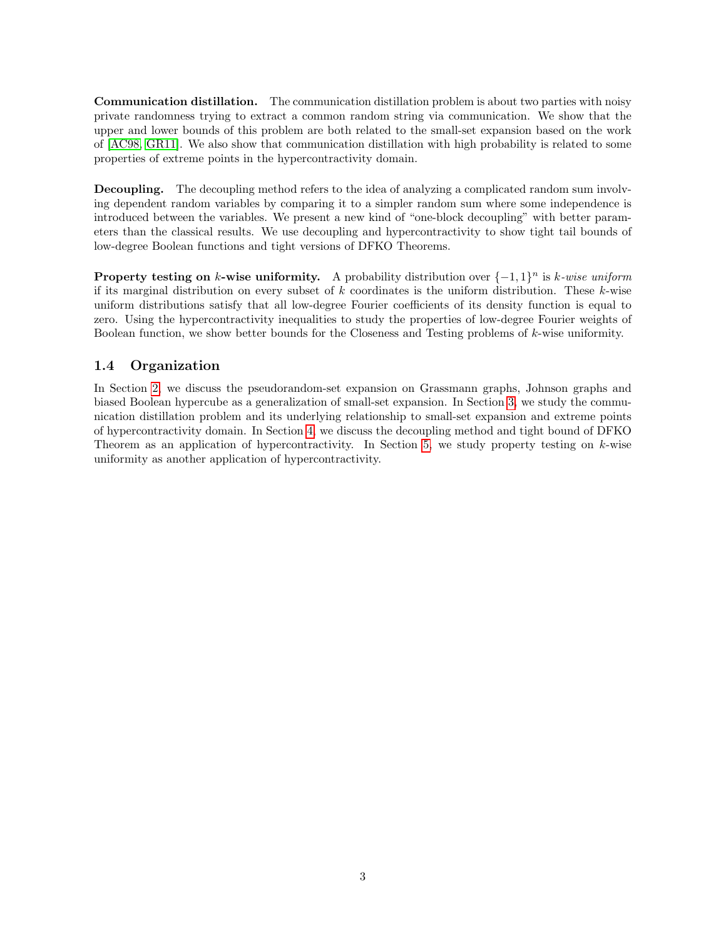Communication distillation. The communication distillation problem is about two parties with noisy private randomness trying to extract a common random string via communication. We show that the upper and lower bounds of this problem are both related to the small-set expansion based on the work of [\[AC98,](#page-19-0) [GR11\]](#page-21-3). We also show that communication distillation with high probability is related to some properties of extreme points in the hypercontractivity domain.

Decoupling. The decoupling method refers to the idea of analyzing a complicated random sum involving dependent random variables by comparing it to a simpler random sum where some independence is introduced between the variables. We present a new kind of "one-block decoupling" with better parameters than the classical results. We use decoupling and hypercontractivity to show tight tail bounds of low-degree Boolean functions and tight versions of DFKO Theorems.

**Property testing on k-wise uniformity.** A probability distribution over  $\{-1, 1\}^n$  is k-wise uniform if its marginal distribution on every subset of k coordinates is the uniform distribution. These k-wise uniform distributions satisfy that all low-degree Fourier coefficients of its density function is equal to zero. Using the hypercontractivity inequalities to study the properties of low-degree Fourier weights of Boolean function, we show better bounds for the Closeness and Testing problems of k-wise uniformity.

# 1.4 Organization

In Section [2,](#page-4-0) we discuss the pseudorandom-set expansion on Grassmann graphs, Johnson graphs and biased Boolean hypercube as a generalization of small-set expansion. In Section [3,](#page-6-0) we study the communication distillation problem and its underlying relationship to small-set expansion and extreme points of hypercontractivity domain. In Section [4,](#page-9-0) we discuss the decoupling method and tight bound of DFKO Theorem as an application of hypercontractivity. In Section [5,](#page-14-0) we study property testing on  $k$ -wise uniformity as another application of hypercontractivity.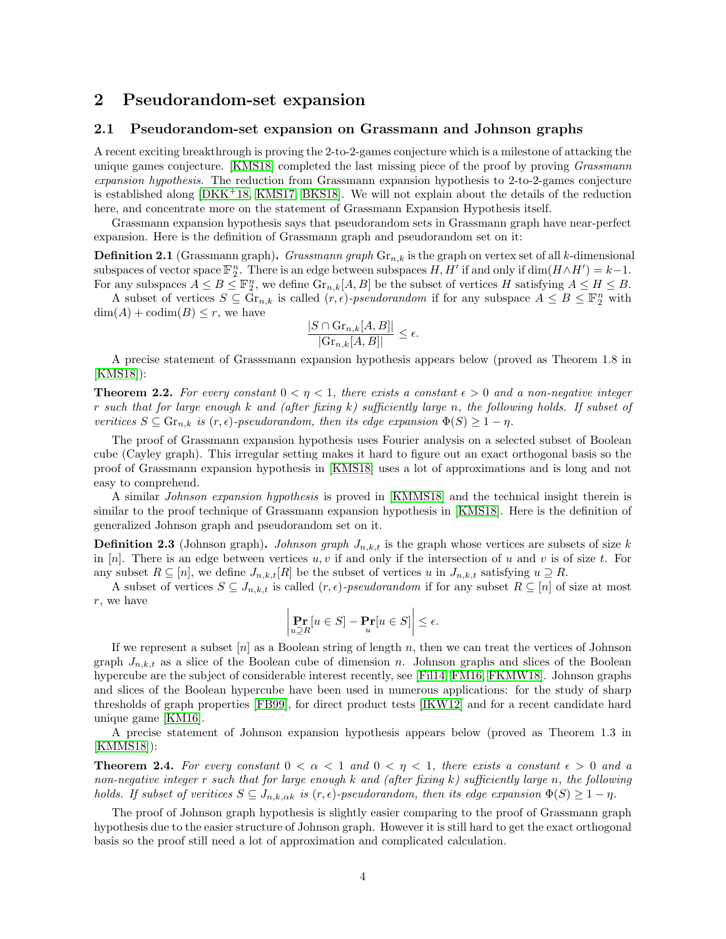# <span id="page-4-0"></span>2 Pseudorandom-set expansion

### 2.1 Pseudorandom-set expansion on Grassmann and Johnson graphs

A recent exciting breakthrough is proving the 2-to-2-games conjecture which is a milestone of attacking the unique games conjecture. [\[KMS18\]](#page-22-3) completed the last missing piece of the proof by proving *Grassmann* expansion hypothesis. The reduction from Grassmann expansion hypothesis to 2-to-2-games conjecture is established along [\[DKK](#page-21-4)+18, [KMS17,](#page-22-5) [BKS18\]](#page-20-4). We will not explain about the details of the reduction here, and concentrate more on the statement of Grassmann Expansion Hypothesis itself.

Grassmann expansion hypothesis says that pseudorandom sets in Grassmann graph have near-perfect expansion. Here is the definition of Grassmann graph and pseudorandom set on it:

**Definition 2.1** (Grassmann graph). Grassmann graph  $\mathrm{Gr}_{n,k}$  is the graph on vertex set of all k-dimensional subspaces of vector space  $\mathbb{F}_2^n$ . There is an edge between subspaces  $H, H'$  if and only if  $\dim(H \wedge H') = k-1$ . For any subspaces  $A \leq B \leq \mathbb{F}_2^n$ , we define  $\text{Gr}_{n,k}[A, B]$  be the subset of vertices H satisfying  $A \leq H \leq B$ .

A subset of vertices  $S \subseteq \overline{\mathrm{Gr}}_{n,k}$  is called  $(r, \epsilon)$ -pseudorandom if for any subspace  $A \leq B \leq \mathbb{F}_2^n$  with  $\dim(A) + \operatorname{codim}(B) \leq r$ , we have

$$
\frac{|S \cap \text{Gr}_{n,k}[A,B]|}{|\text{Gr}_{n,k}[A,B]|} \le \epsilon.
$$

A precise statement of Grasssmann expansion hypothesis appears below (proved as Theorem 1.8 in [\[KMS18\]](#page-22-3)):

**Theorem 2.2.** For every constant  $0 < \eta < 1$ , there exists a constant  $\epsilon > 0$  and a non-negative integer r such that for large enough k and (after fixing k) sufficiently large n, the following holds. If subset of veritices  $S \subseteq \mathrm{Gr}_{n,k}$  is  $(r,\epsilon)$ -pseudorandom, then its edge expansion  $\Phi(S) \geq 1 - \eta$ .

The proof of Grassmann expansion hypothesis uses Fourier analysis on a selected subset of Boolean cube (Cayley graph). This irregular setting makes it hard to figure out an exact orthogonal basis so the proof of Grassmann expansion hypothesis in [\[KMS18\]](#page-22-3) uses a lot of approximations and is long and not easy to comprehend.

A similar Johnson expansion hypothesis is proved in [\[KMMS18\]](#page-22-4) and the technical insight therein is similar to the proof technique of Grassmann expansion hypothesis in [\[KMS18\]](#page-22-3). Here is the definition of generalized Johnson graph and pseudorandom set on it.

**Definition 2.3** (Johnson graph). Johnson graph  $J_{n,k,t}$  is the graph whose vertices are subsets of size k in  $[n]$ . There is an edge between vertices u, v if and only if the intersection of u and v is of size t. For any subset  $R \subseteq [n]$ , we define  $J_{n,k,t}[R]$  be the subset of vertices u in  $J_{n,k,t}$  satisfying  $u \supseteq R$ .

A subset of vertices  $S \subseteq J_{n,k,t}$  is called  $(r,\epsilon)$ -pseudorandom if for any subset  $R \subseteq [n]$  of size at most r, we have

$$
\left|\Pr_{u \supseteq R}[u \in S] - \Pr_u[u \in S]\right| \le \epsilon.
$$

If we represent a subset  $[n]$  as a Boolean string of length n, then we can treat the vertices of Johnson graph  $J_{n,k,t}$  as a slice of the Boolean cube of dimension n. Johnson graphs and slices of the Boolean hypercube are the subject of considerable interest recently, see [\[Fil14,](#page-21-5) [FM16,](#page-21-6) [FKMW18\]](#page-21-7). Johnson graphs and slices of the Boolean hypercube have been used in numerous applications: for the study of sharp thresholds of graph properties [\[FB99\]](#page-21-2), for direct product tests [\[IKW12\]](#page-21-8) and for a recent candidate hard unique game [\[KM16\]](#page-22-6).

A precise statement of Johnson expansion hypothesis appears below (proved as Theorem 1.3 in [\[KMMS18\]](#page-22-4)):

**Theorem 2.4.** For every constant  $0 < \alpha < 1$  and  $0 < \eta < 1$ , there exists a constant  $\epsilon > 0$  and a non-negative integer r such that for large enough k and (after fixing k) sufficiently large n, the following holds. If subset of veritices  $S \subseteq J_{n,k,\alpha k}$  is  $(r,\epsilon)$ -pseudorandom, then its edge expansion  $\Phi(S) \geq 1 - \eta$ .

The proof of Johnson graph hypothesis is slightly easier comparing to the proof of Grassmann graph hypothesis due to the easier structure of Johnson graph. However it is still hard to get the exact orthogonal basis so the proof still need a lot of approximation and complicated calculation.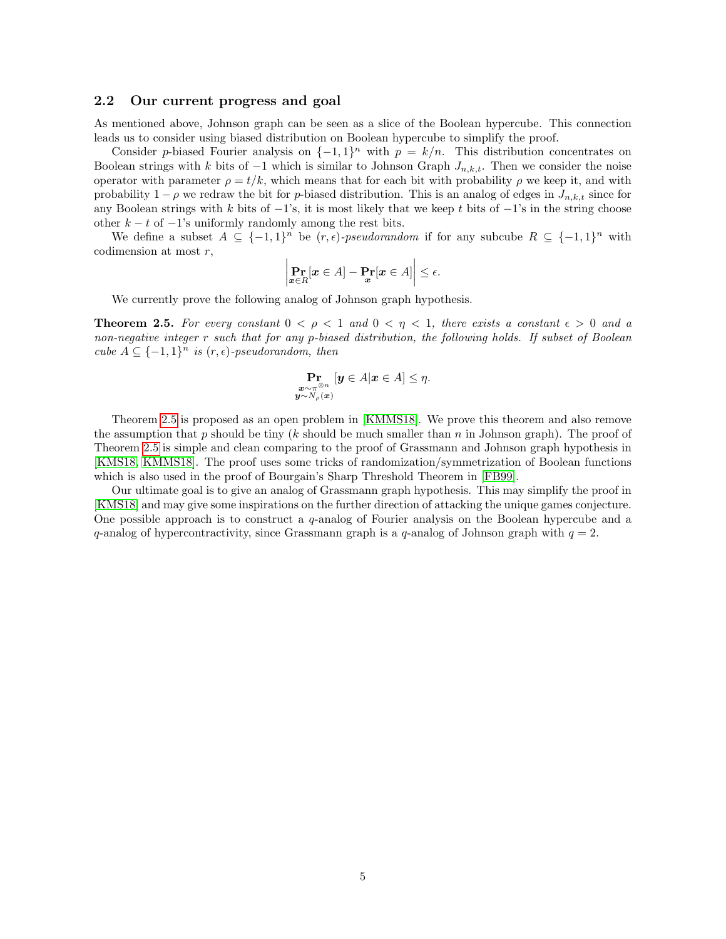### 2.2 Our current progress and goal

As mentioned above, Johnson graph can be seen as a slice of the Boolean hypercube. This connection leads us to consider using biased distribution on Boolean hypercube to simplify the proof.

Consider p-biased Fourier analysis on  $\{-1,1\}^n$  with  $p = k/n$ . This distribution concentrates on Boolean strings with k bits of  $-1$  which is similar to Johnson Graph  $J_{n,k,t}$ . Then we consider the noise operator with parameter  $\rho = t/k$ , which means that for each bit with probability  $\rho$  we keep it, and with probability  $1 - \rho$  we redraw the bit for p-biased distribution. This is an analog of edges in  $J_{n,k,t}$  since for any Boolean strings with k bits of  $-1$ 's, it is most likely that we keep t bits of  $-1$ 's in the string choose other  $k - t$  of  $-1$ 's uniformly randomly among the rest bits.

We define a subset  $A \subseteq \{-1,1\}^n$  be  $(r,\epsilon)$ -pseudorandom if for any subcube  $R \subseteq \{-1,1\}^n$  with codimension at most r,

$$
\left|\Pr_{\boldsymbol{x}\in R}[\boldsymbol{x}\in A]-\Pr_{\boldsymbol{x}}[\boldsymbol{x}\in A]\right|\leq\epsilon.
$$

We currently prove the following analog of Johnson graph hypothesis.

<span id="page-5-0"></span>**Theorem 2.5.** For every constant  $0 < \rho < 1$  and  $0 < \eta < 1$ , there exists a constant  $\epsilon > 0$  and a non-negative integer r such that for any p-biased distribution, the following holds. If subset of Boolean cube  $A \subseteq \{-1,1\}^n$  is  $(r, \epsilon)$ -pseudorandom, then

$$
\Pr_{\substack{\boldsymbol{x}\sim\pi^{\otimes n}\\ \boldsymbol{y}\sim N_{\rho}(\boldsymbol{x})}}\left[\boldsymbol{y}\in A|\boldsymbol{x}\in A\right]\leq\eta.
$$

Theorem [2.5](#page-5-0) is proposed as an open problem in [\[KMMS18\]](#page-22-4). We prove this theorem and also remove the assumption that p should be tiny (k should be much smaller than  $n$  in Johnson graph). The proof of Theorem [2.5](#page-5-0) is simple and clean comparing to the proof of Grassmann and Johnson graph hypothesis in [\[KMS18,](#page-22-3) [KMMS18\]](#page-22-4). The proof uses some tricks of randomization/symmetrization of Boolean functions which is also used in the proof of Bourgain's Sharp Threshold Theorem in [\[FB99\]](#page-21-2).

Our ultimate goal is to give an analog of Grassmann graph hypothesis. This may simplify the proof in [\[KMS18\]](#page-22-3) and may give some inspirations on the further direction of attacking the unique games conjecture. One possible approach is to construct a  $q$ -analog of Fourier analysis on the Boolean hypercube and a q-analog of hypercontractivity, since Grassmann graph is a q-analog of Johnson graph with  $q = 2$ .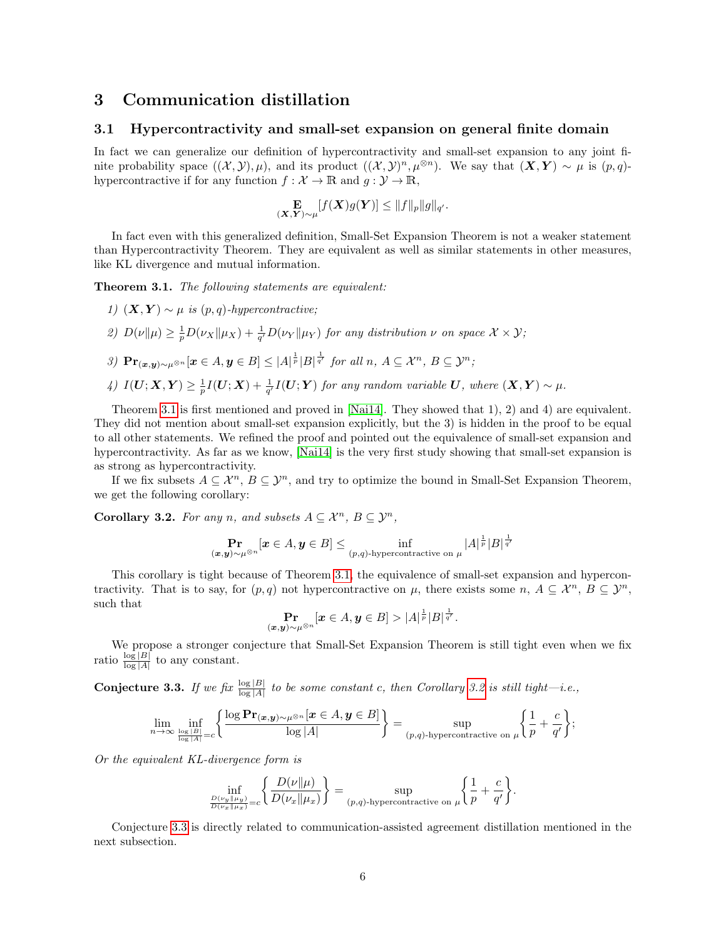# <span id="page-6-0"></span>3 Communication distillation

### 3.1 Hypercontractivity and small-set expansion on general finite domain

In fact we can generalize our definition of hypercontractivity and small-set expansion to any joint finite probability space  $((\mathcal{X}, \mathcal{Y}), \mu)$ , and its product  $((\mathcal{X}, \mathcal{Y})^n, \mu^{\otimes n})$ . We say that  $(\mathbf{X}, \mathbf{Y}) \sim \mu$  is  $(p, q)$ hypercontractive if for any function  $f : \mathcal{X} \to \mathbb{R}$  and  $g : \mathcal{Y} \to \mathbb{R}$ ,

$$
\mathop{\mathbf{E}}_{(\mathbf{X},\mathbf{Y})\sim\mu}[f(\mathbf{X})g(\mathbf{Y})] \leq \|f\|_p \|g\|_{q'}.
$$

In fact even with this generalized definition, Small-Set Expansion Theorem is not a weaker statement than Hypercontractivity Theorem. They are equivalent as well as similar statements in other measures, like KL divergence and mutual information.

<span id="page-6-1"></span>Theorem 3.1. The following statements are equivalent:

- 1)  $(X, Y) \sim \mu$  is  $(p, q)$ -hypercontractive;
- 2)  $D(\nu \| \mu) \geq \frac{1}{p}D(\nu_X \| \mu_X) + \frac{1}{q'}D(\nu_Y \| \mu_Y)$  for any distribution  $\nu$  on space  $\mathcal{X} \times \mathcal{Y}$ ;
- 3)  $\Pr_{(\bm{x},\bm{y})\sim\mu^{\otimes n}}[\bm{x}\in A,\bm{y}\in B]\leq |A|^{\frac{1}{p}}|B|^{\frac{1}{q'}}$  for all  $n, A\subseteq\mathcal{X}^n, B\subseteq\mathcal{Y}^n;$
- $\mathcal{L}(U; X, Y) \geq \frac{1}{p} I(U; X) + \frac{1}{q'} I(U; Y)$  for any random variable U, where  $(X, Y) \sim \mu$ .

Theorem [3.1](#page-6-1) is first mentioned and proved in [\[Nai14\]](#page-23-4). They showed that 1), 2) and 4) are equivalent. They did not mention about small-set expansion explicitly, but the 3) is hidden in the proof to be equal to all other statements. We refined the proof and pointed out the equivalence of small-set expansion and hypercontractivity. As far as we know, [\[Nai14\]](#page-23-4) is the very first study showing that small-set expansion is as strong as hypercontractivity.

If we fix subsets  $A \subseteq \mathcal{X}^n$ ,  $B \subseteq \mathcal{Y}^n$ , and try to optimize the bound in Small-Set Expansion Theorem, we get the following corollary:

<span id="page-6-2"></span>Corollary 3.2. For any n, and subsets  $A \subseteq \mathcal{X}^n$ ,  $B \subseteq \mathcal{Y}^n$ ,

$$
\mathop{\bf Pr}\limits_{(\bm x,\bm y)\sim\mu^{\otimes n}}[\bm x\in A,\bm y\in B]\le \inf_{(p,q)\text{-hypercontractive on }\mu}|A|^{\frac{1}{p}}|B|^{\frac{1}{q'}}
$$

This corollary is tight because of Theorem [3.1,](#page-6-1) the equivalence of small-set expansion and hypercontractivity. That is to say, for  $(p,q)$  not hypercontractive on  $\mu$ , there exists some  $n, A \subseteq \mathcal{X}^n, B \subseteq \mathcal{Y}^n$ , such that

$$
\mathop{\bf Pr}\limits_{(\bm x,\bm y)\sim\mu^{\otimes n}}[\bm x\in A,\bm y\in B]>|A|^{\frac{1}{p}}|B|^{\frac{1}{q'}}.
$$

We propose a stronger conjecture that Small-Set Expansion Theorem is still tight even when we fix ratio  $\frac{\log |B|}{\log |A|}$  to any constant.

<span id="page-6-3"></span>**Conjecture 3.3.** If we fix  $\frac{\log |B|}{\log |A|}$  to be some constant c, then Corollary [3.2](#page-6-2) is still tight—i.e.,

$$
\lim_{n\to\infty}\inf_{\substack{\log|B|\\ \log|A|=c}}\left\{\frac{\log\mathbf{Pr}(x,y)\sim\mu^{\otimes n}}{|\log|A|}\mathbf{X}\in A,y\in B\right\}}\right\}=\sup_{(p,q)\text{-hypercontractive on }\mu}\left\{\frac{1}{p}+\frac{c}{q'}\right\};
$$

Or the equivalent KL-divergence form is

$$
\inf_{\frac{D(\nu_y||\mu_y)}{D(\nu_x||\mu_x)}=c} \left\{ \frac{D(\nu||\mu)}{D(\nu_x||\mu_x)} \right\} = \sup_{(p,q)\text{-hypercontractive on }\mu} \left\{ \frac{1}{p} + \frac{c}{q'} \right\}.
$$

Conjecture [3.3](#page-6-3) is directly related to communication-assisted agreement distillation mentioned in the next subsection.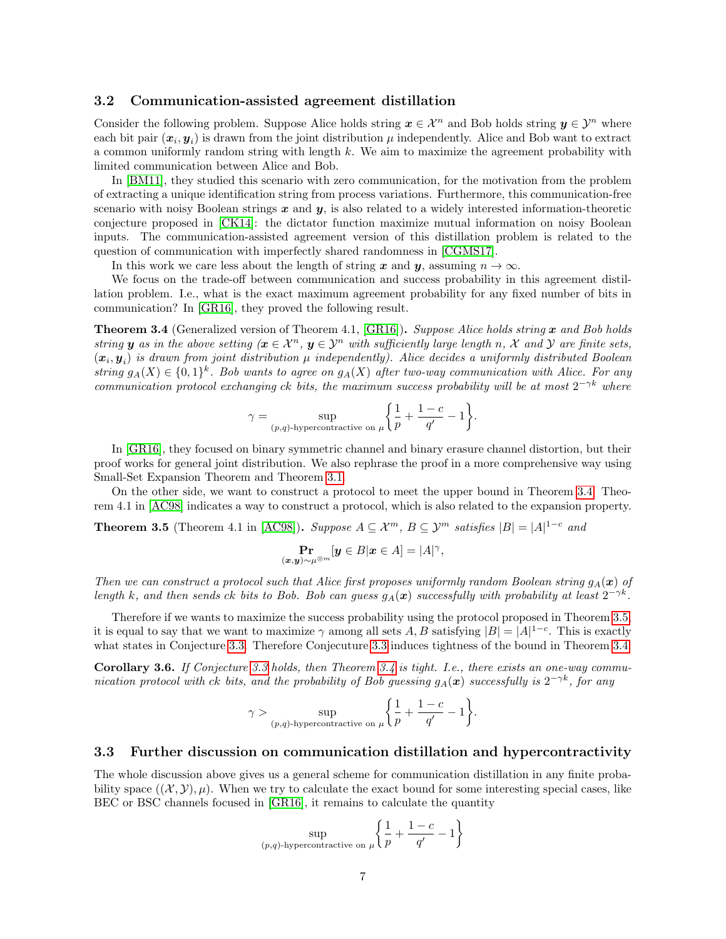### 3.2 Communication-assisted agreement distillation

Consider the following problem. Suppose Alice holds string  $x \in \mathcal{X}^n$  and Bob holds string  $y \in \mathcal{Y}^n$  where each bit pair  $(x_i, y_i)$  is drawn from the joint distribution  $\mu$  independently. Alice and Bob want to extract a common uniformly random string with length k. We aim to maximize the agreement probability with limited communication between Alice and Bob.

In [\[BM11\]](#page-20-5), they studied this scenario with zero communication, for the motivation from the problem of extracting a unique identification string from process variations. Furthermore, this communication-free scenario with noisy Boolean strings  $x$  and  $y$ , is also related to a widely interested information-theoretic conjecture proposed in [\[CK14\]](#page-20-6): the dictator function maximize mutual information on noisy Boolean inputs. The communication-assisted agreement version of this distillation problem is related to the question of communication with imperfectly shared randomness in [\[CGMS17\]](#page-20-7).

In this work we care less about the length of string x and y, assuming  $n \to \infty$ .

We focus on the trade-off between communication and success probability in this agreement distillation problem. I.e., what is the exact maximum agreement probability for any fixed number of bits in communication? In [\[GR16\]](#page-21-9), they proved the following result.

<span id="page-7-0"></span>**Theorem 3.4** (Generalized version of Theorem 4.1,  $[GR16]$ ). Suppose Alice holds string x and Bob holds string **y** as in the above setting  $(x \in \mathcal{X}^n, y \in \mathcal{Y}^n$  with sufficiently large length n, X and Y are finite sets,  $(x_i, y_i)$  is drawn from joint distribution  $\mu$  independently). Alice decides a uniformly distributed Boolean string  $g_A(X) \in \{0,1\}^k$ . Bob wants to agree on  $g_A(X)$  after two-way communication with Alice. For any communication protocol exchanging ck bits, the maximum success probability will be at most  $2^{-\gamma k}$  where

$$
\gamma = \sup_{(p,q)\text{-hypercontractive on }\mu} \left\{ \frac{1}{p} + \frac{1-c}{q'} - 1 \right\}.
$$

In [\[GR16\]](#page-21-9), they focused on binary symmetric channel and binary erasure channel distortion, but their proof works for general joint distribution. We also rephrase the proof in a more comprehensive way using Small-Set Expansion Theorem and Theorem [3.1.](#page-6-1)

On the other side, we want to construct a protocol to meet the upper bound in Theorem [3.4.](#page-7-0) Theorem 4.1 in [\[AC98\]](#page-19-0) indicates a way to construct a protocol, which is also related to the expansion property.

<span id="page-7-1"></span>**Theorem 3.5** (Theorem 4.1 in [\[AC98\]](#page-19-0)). Suppose  $A \subseteq \mathcal{X}^m$ ,  $B \subseteq \mathcal{Y}^m$  satisfies  $|B| = |A|^{1-c}$  and

$$
\Pr_{(\boldsymbol{x},\boldsymbol{y})\sim\mu^{\otimes m}}[\boldsymbol{y}\in B|\boldsymbol{x}\in A]=|A|^{\gamma},
$$

Then we can construct a protocol such that Alice first proposes uniformly random Boolean string  $g_A(\mathbf{x})$  of length k, and then sends ck bits to Bob. Bob can guess  $g_A(x)$  successfully with probability at least  $2^{-\gamma k}$ .

Therefore if we wants to maximize the success probability using the protocol proposed in Theorem [3.5,](#page-7-1) it is equal to say that we want to maximize  $\gamma$  among all sets  $A, B$  satisfying  $|B| = |A|^{1-c}$ . This is exactly what states in Conjecture [3.3.](#page-6-3) Therefore Conjecuture [3.3](#page-6-3) induces tightness of the bound in Theorem [3.4:](#page-7-0)

Corollary 3.6. If Conjecture [3.3](#page-6-3) holds, then Theorem [3.4](#page-7-0) is tight. I.e., there exists an one-way communication protocol with ck bits, and the probability of Bob guessing  $g_A(\bm{x})$  successfully is  $2^{-\gamma k}$ , for any

$$
\gamma > \sup_{(p,q)\text{-hypercontractive on }\mu} \left\{ \frac{1}{p} + \frac{1-c}{q'} - 1 \right\}.
$$

#### 3.3 Further discussion on communication distillation and hypercontractivity

The whole discussion above gives us a general scheme for communication distillation in any finite probability space  $((\mathcal{X}, \mathcal{Y}), \mu)$ . When we try to calculate the exact bound for some interesting special cases, like BEC or BSC channels focused in [\[GR16\]](#page-21-9), it remains to calculate the quantity

$$
\sup_{(p,q)\text{-hypercontractive on }\mu}\left\{\frac{1}{p}+\frac{1-c}{q'}-1\right\}
$$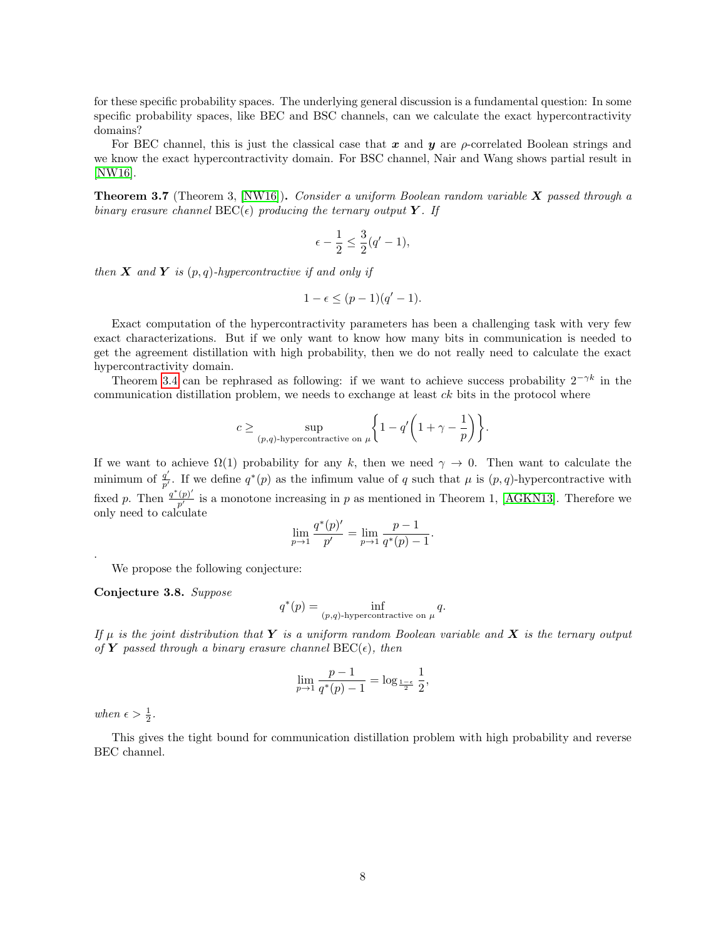for these specific probability spaces. The underlying general discussion is a fundamental question: In some specific probability spaces, like BEC and BSC channels, can we calculate the exact hypercontractivity domains?

For BEC channel, this is just the classical case that x and y are  $\rho$ -correlated Boolean strings and we know the exact hypercontractivity domain. For BSC channel, Nair and Wang shows partial result in [\[NW16\]](#page-23-5).

**Theorem 3.7** (Theorem 3, [\[NW16\]](#page-23-5)). Consider a uniform Boolean random variable  $X$  passed through a binary erasure channel  $\text{BEC}(\epsilon)$  producing the ternary output Y. If

$$
\epsilon - \frac{1}{2} \le \frac{3}{2}(q'-1),
$$

then  $X$  and  $Y$  is  $(p, q)$ -hypercontractive if and only if

$$
1 - \epsilon \le (p - 1)(q' - 1).
$$

Exact computation of the hypercontractivity parameters has been a challenging task with very few exact characterizations. But if we only want to know how many bits in communication is needed to get the agreement distillation with high probability, then we do not really need to calculate the exact hypercontractivity domain.

Theorem [3.4](#page-7-0) can be rephrased as following: if we want to achieve success probability  $2^{-\gamma k}$  in the communication distillation problem, we needs to exchange at least ck bits in the protocol where

$$
c \ge \sup_{(p,q)\text{-hypercontractive on }\mu} \left\{1 - q'\left(1 + \gamma - \frac{1}{p}\right)\right\}.
$$

If we want to achieve  $\Omega(1)$  probability for any k, then we need  $\gamma \to 0$ . Then want to calculate the minimum of  $\frac{q'}{n'}$  $\frac{q'}{p'}$ . If we define  $q^*(p)$  as the infimum value of q such that  $\mu$  is  $(p, q)$ -hypercontractive with fixed p. Then  $\frac{q^*(p)'}{p'}$  $\frac{(p)}{p'}$  is a monotone increasing in p as mentioned in Theorem 1, [\[AGKN13\]](#page-19-1). Therefore we only need to calculate  $a^*(n)$ 

$$
\lim_{p \to 1} \frac{q^*(p)'}{p'} = \lim_{p \to 1} \frac{p-1}{q^*(p)-1}.
$$

We propose the following conjecture:

Conjecture 3.8. Suppose

$$
q^*(p) = \inf_{(p,q)\text{-hypercontractive on }\mu} q.
$$

If  $\mu$  is the joint distribution that Y is a uniform random Boolean variable and X is the ternary output of Y passed through a binary erasure channel  $BEC(\epsilon)$ , then

$$
\lim_{p \to 1} \frac{p-1}{q^*(p)-1} = \log_{\frac{1-\epsilon}{2}} \frac{1}{2},
$$

when  $\epsilon > \frac{1}{2}$ .

.

This gives the tight bound for communication distillation problem with high probability and reverse BEC channel.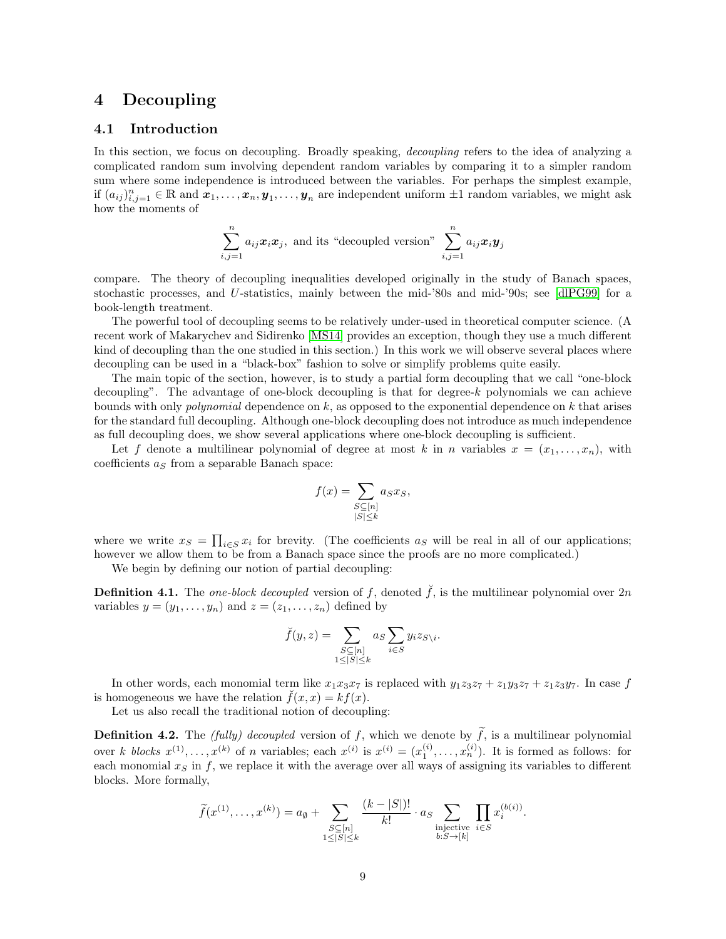# <span id="page-9-0"></span>4 Decoupling

# 4.1 Introduction

In this section, we focus on decoupling. Broadly speaking, decoupling refers to the idea of analyzing a complicated random sum involving dependent random variables by comparing it to a simpler random sum where some independence is introduced between the variables. For perhaps the simplest example, if  $(a_{ij})_{i,j=1}^n \in \mathbb{R}$  and  $x_1, \ldots, x_n, y_1, \ldots, y_n$  are independent uniform  $\pm 1$  random variables, we might ask how the moments of

$$
\sum_{i,j=1}^{n} a_{ij} \mathbf{x}_i \mathbf{x}_j
$$
, and its "decoupled version" 
$$
\sum_{i,j=1}^{n} a_{ij} \mathbf{x}_i \mathbf{y}_j
$$

compare. The theory of decoupling inequalities developed originally in the study of Banach spaces, stochastic processes, and U-statistics, mainly between the mid-'80s and mid-'90s; see [\[dlPG99\]](#page-21-10) for a book-length treatment.

The powerful tool of decoupling seems to be relatively under-used in theoretical computer science. (A recent work of Makarychev and Sidirenko [\[MS14\]](#page-23-6) provides an exception, though they use a much different kind of decoupling than the one studied in this section.) In this work we will observe several places where decoupling can be used in a "black-box" fashion to solve or simplify problems quite easily.

The main topic of the section, however, is to study a partial form decoupling that we call "one-block decoupling". The advantage of one-block decoupling is that for degree- $k$  polynomials we can achieve bounds with only *polynomial* dependence on  $k$ , as opposed to the exponential dependence on  $k$  that arises for the standard full decoupling. Although one-block decoupling does not introduce as much independence as full decoupling does, we show several applications where one-block decoupling is sufficient.

Let f denote a multilinear polynomial of degree at most k in n variables  $x = (x_1, \ldots, x_n)$ , with coefficients  $a<sub>S</sub>$  from a separable Banach space:

$$
f(x) = \sum_{\substack{S \subseteq [n] \\ |S| \le k}} a_S x_S,
$$

where we write  $x_S = \prod_{i \in S} x_i$  for brevity. (The coefficients  $a_S$  will be real in all of our applications; however we allow them to be from a Banach space since the proofs are no more complicated.)

We begin by defining our notion of partial decoupling:

**Definition 4.1.** The one-block decoupled version of f, denoted  $\tilde{f}$ , is the multilinear polynomial over  $2n$ variables  $y = (y_1, \ldots, y_n)$  and  $z = (z_1, \ldots, z_n)$  defined by

$$
\breve{f}(y, z) = \sum_{\substack{S \subseteq [n] \\ 1 \le |S| \le k}} a_S \sum_{i \in S} y_i z_{S \setminus i}.
$$

In other words, each monomial term like  $x_1x_3x_7$  is replaced with  $y_1z_3z_7 + z_1y_3z_7 + z_1z_3y_7$ . In case f is homogeneous we have the relation  $f(x, x) = kf(x)$ .

Let us also recall the traditional notion of decoupling:

**Definition 4.2.** The *(fully) decoupled* version of f, which we denote by  $\tilde{f}$ , is a multilinear polynomial over k blocks  $x^{(1)},...,x^{(k)}$  of n variables; each  $x^{(i)}$  is  $x^{(i)} = (x_1^{(i)},...,x_n^{(i)})$ . It is formed as follows: for each monomial  $x<sub>S</sub>$  in f, we replace it with the average over all ways of assigning its variables to different blocks. More formally,

$$
\widetilde{f}(x^{(1)},\ldots,x^{(k)})=a_{\emptyset}+\sum_{\substack{S\subseteq[n]\\1\leq|S|\leq k}}\frac{(k-|S|)!}{k!}\cdot a_{S}\sum_{\substack{\text{injective}\\b:S\to[k]}}\prod_{i\in S}x_{i}^{(b(i))}.
$$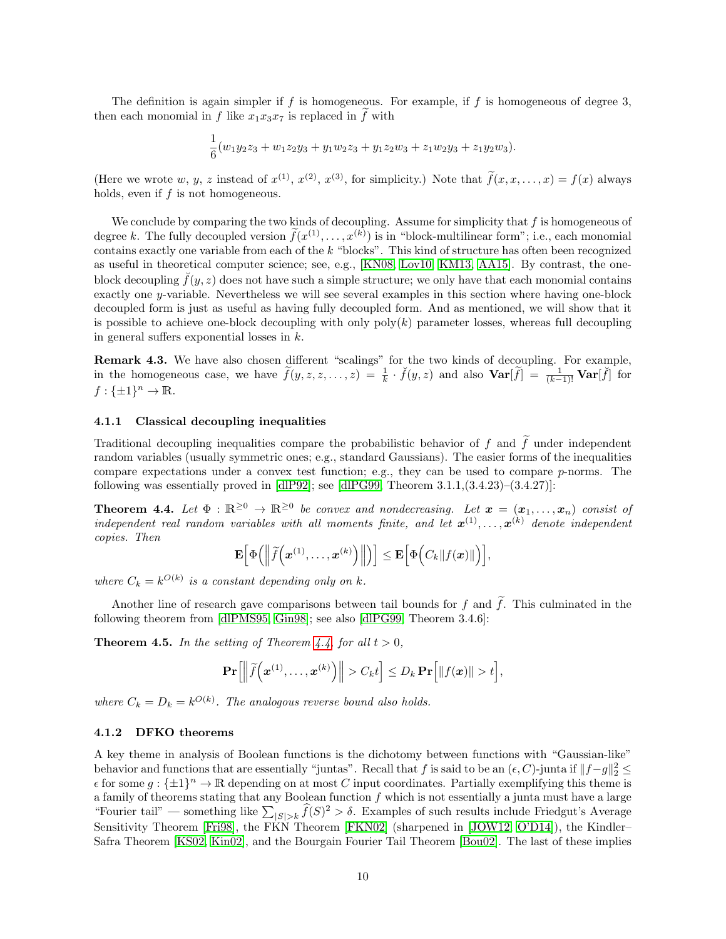The definition is again simpler if f is homogeneous. For example, if f is homogeneous of degree 3, then each monomial in f like  $x_1x_3x_7$  is replaced in f with

$$
\frac{1}{6}(w_1y_2z_3+w_1z_2y_3+y_1w_2z_3+y_1z_2w_3+z_1w_2y_3+z_1y_2w_3).
$$

(Here we wrote w, y, z instead of  $x^{(1)}$ ,  $x^{(2)}$ ,  $x^{(3)}$ , for simplicity.) Note that  $f(x, x, ..., x) = f(x)$  always holds, even if f is not homogeneous.

We conclude by comparing the two kinds of decoupling. Assume for simplicity that  $f$  is homogeneous of degree k. The fully decoupled version  $\tilde{f}(x^{(1)},...,x^{(k)})$  is in "block-multilinear form"; i.e., each monomial contains exactly one variable from each of the  $k$  "blocks". This kind of structure has often been recognized as useful in theoretical computer science; see, e.g., [\[KN08,](#page-22-7) [Lov10,](#page-23-7) [KM13,](#page-22-8) [AA15\]](#page-19-2). By contrast, the oneblock decoupling  $\tilde{f}(y, z)$  does not have such a simple structure; we only have that each monomial contains exactly one y-variable. Nevertheless we will see several examples in this section where having one-block decoupled form is just as useful as having fully decoupled form. And as mentioned, we will show that it is possible to achieve one-block decoupling with only  $poly(k)$  parameter losses, whereas full decoupling in general suffers exponential losses in k.

Remark 4.3. We have also chosen different "scalings" for the two kinds of decoupling. For example, in the homogeneous case, we have  $\tilde{f}(y, z, z, \dots, z) = \frac{1}{k} \cdot \tilde{f}(y, z)$  and also  $\text{Var}[\tilde{f}] = \frac{1}{(k-1)!} \text{Var}[\tilde{f}]$  for  $f: \{\pm 1\}^n \to \mathbb{R}.$ 

#### 4.1.1 Classical decoupling inequalities

Traditional decoupling inequalities compare the probabilistic behavior of f and  $\tilde{f}$  under independent random variables (usually symmetric ones; e.g., standard Gaussians). The easier forms of the inequalities compare expectations under a convex test function; e.g., they can be used to compare p-norms. The following was essentially proved in  $\text{dIP92}$ ; see  $\text{dIPG99}$ , Theorem 3.1.1, $\text{(3.4.23)}$ – $\text{(3.4.27)}$ :

<span id="page-10-0"></span>**Theorem 4.4.** Let  $\Phi : \mathbb{R}^{\geq 0} \to \mathbb{R}^{\geq 0}$  be convex and nondecreasing. Let  $\boldsymbol{x} = (\boldsymbol{x}_1, \dots, \boldsymbol{x}_n)$  consist of independent real random variables with all moments finite, and let  $\mathbf{x}^{(1)}, \ldots, \mathbf{x}^{(k)}$  denote independent copies. Then

$$
\mathbf{E}\Big[\Phi\Big(\Big\|\widetilde{f}\Big(\boldsymbol{x}^{(1)},\ldots,\boldsymbol{x}^{(k)}\Big)\Big\|\Big)\Big]\leq \mathbf{E}\Big[\Phi\Big(C_k\|f(\boldsymbol{x})\|\Big)\Big],
$$

where  $C_k = k^{O(k)}$  is a constant depending only on k.

Another line of research gave comparisons between tail bounds for f and  $\tilde{f}$ . This culminated in the following theorem from [\[dlPMS95,](#page-21-12) [Gin98\]](#page-21-13); see also [\[dlPG99,](#page-21-10) Theorem 3.4.6]:

<span id="page-10-1"></span>**Theorem 4.5.** In the setting of Theorem [4.4,](#page-10-0) for all  $t > 0$ ,

$$
\mathbf{Pr}\Big[\Big\|\widetilde{f}\Big(\boldsymbol{x}^{(1)},\ldots,\boldsymbol{x}^{(k)}\Big)\Big\| > C_k t\Big] \leq D_k \,\mathbf{Pr}\Big[\|f(\boldsymbol{x})\| > t\Big],
$$

where  $C_k = D_k = k^{O(k)}$ . The analogous reverse bound also holds.

#### 4.1.2 DFKO theorems

A key theme in analysis of Boolean functions is the dichotomy between functions with "Gaussian-like" behavior and functions that are essentially "juntas". Recall that f is said to be an  $(\epsilon, C)$ -junta if  $||f-g||_2^2 \le$  $\epsilon$  for some  $g: \{\pm 1\}^n \to \mathbb{R}$  depending on at most C input coordinates. Partially exemplifying this theme is a family of theorems stating that any Boolean function  $f$  which is not essentially a junta must have a large "Fourier tail" — something like  $\sum_{|S|>k} \widehat{f}(S)^2 > \delta$ . Examples of such results include Friedgut's Average Sensitivity Theorem [\[Fri98\]](#page-21-14), the FKN Theorem [\[FKN02\]](#page-21-15) (sharpened in [\[JOW12,](#page-22-9) [O'D14\]](#page-23-0)), the Kindler– Safra Theorem [\[KS02,](#page-22-10) [Kin02\]](#page-22-11), and the Bourgain Fourier Tail Theorem [\[Bou02\]](#page-20-8). The last of these implies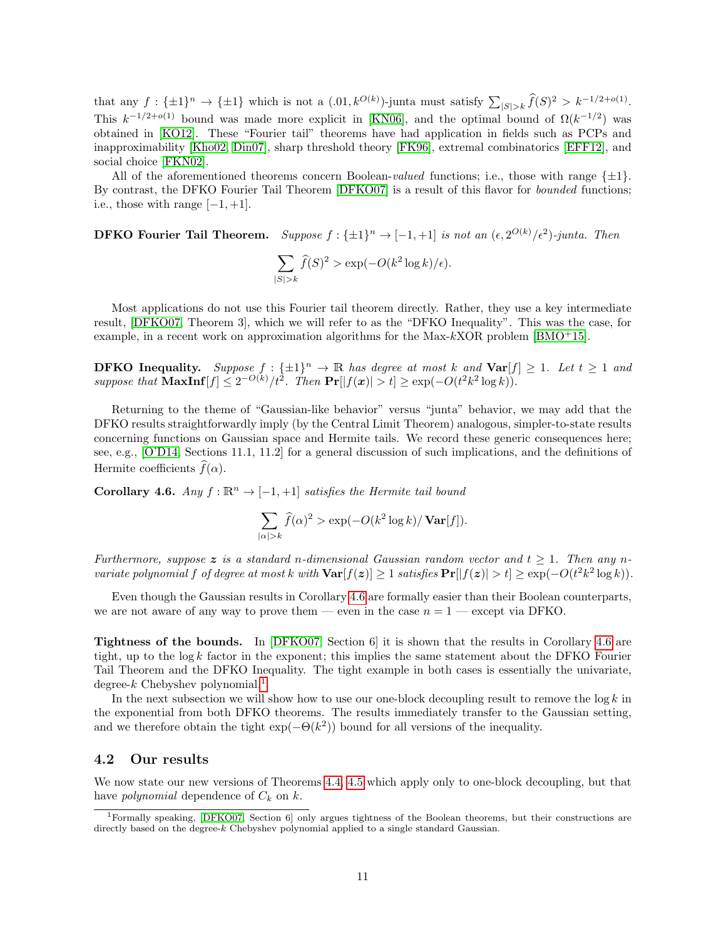that any  $f: \{\pm 1\}^n \to \{\pm 1\}$  which is not a  $(.01, k^{O(k)})$ -junta must satisfy  $\sum_{|S|>k} \widehat{f}(S)^2 > k^{-1/2+o(1)}$ . This  $k^{-1/2+o(1)}$  bound was made more explicit in [\[KN06\]](#page-22-12), and the optimal bound of  $\Omega(k^{-1/2})$  was obtained in [\[KO12\]](#page-22-13). These "Fourier tail" theorems have had application in fields such as PCPs and inapproximability [\[Kho02,](#page-22-14) [Din07\]](#page-20-9), sharp threshold theory [\[FK96\]](#page-21-16), extremal combinatorics [\[EFF12\]](#page-21-17), and social choice [\[FKN02\]](#page-21-15).

All of the aforementioned theorems concern Boolean-valued functions; i.e., those with range  $\{\pm 1\}$ . By contrast, the DFKO Fourier Tail Theorem [\[DFKO07\]](#page-20-10) is a result of this flavor for bounded functions; i.e., those with range  $[-1, +1]$ .

**DFKO Fourier Tail Theorem.** Suppose  $f: \{\pm 1\}^n \to [-1, +1]$  is not an  $(\epsilon, 2^{O(k)}/\epsilon^2)$ -junta. Then

$$
\sum_{|S|>k} \hat{f}(S)^2 > \exp(-O(k^2 \log k)/\epsilon).
$$

Most applications do not use this Fourier tail theorem directly. Rather, they use a key intermediate result, [\[DFKO07,](#page-20-10) Theorem 3], which we will refer to as the "DFKO Inequality". This was the case, for example, in a recent work on approximation algorithms for the Max-kXOR problem [\[BMO](#page-20-11)+15].

**DFKO Inequality.** Suppose  $f : \{\pm 1\}^n \to \mathbb{R}$  has degree at most k and  $\text{Var}[f] \geq 1$ . Let  $t \geq 1$  and suppose that  $\text{MaxInf}[f] \leq 2^{-O(k)}/t^2$ . Then  $\Pr[|f(x)| > t] \geq \exp(-O(t^2k^2 \log k)).$ 

Returning to the theme of "Gaussian-like behavior" versus "junta" behavior, we may add that the DFKO results straightforwardly imply (by the Central Limit Theorem) analogous, simpler-to-state results concerning functions on Gaussian space and Hermite tails. We record these generic consequences here; see, e.g., [\[O'D14,](#page-23-0) Sections 11.1, 11.2] for a general discussion of such implications, and the definitions of Hermite coefficients  $\widehat{f}(\alpha)$ .

<span id="page-11-0"></span>Corollary 4.6. Any  $f : \mathbb{R}^n \to [-1, +1]$  satisfies the Hermite tail bound

$$
\sum_{|\alpha|>k} \widehat{f}(\alpha)^2 > \exp(-O(k^2 \log k) / \operatorname{Var}[f]).
$$

Furthermore, suppose z is a standard n-dimensional Gaussian random vector and  $t \geq 1$ . Then any nvariate polynomial f of degree at most k with  $\text{Var}[f(z)] \geq 1$  satisfies  $\text{Pr}[|f(z)| > t] \geq \exp(-O(t^2 k^2 \log k)).$ 

Even though the Gaussian results in Corollary [4.6](#page-11-0) are formally easier than their Boolean counterparts, we are not aware of any way to prove them — even in the case  $n = 1$  — except via DFKO.

Tightness of the bounds. In [\[DFKO07,](#page-20-10) Section 6] it is shown that the results in Corollary [4.6](#page-11-0) are tight, up to the log k factor in the exponent; this implies the same statement about the DFKO Fourier Tail Theorem and the DFKO Inequality. The tight example in both cases is essentially the univariate, degree- $k$  Chebyshev polynomial.<sup>[1](#page-11-1)</sup>

In the next subsection we will show how to use our one-block decoupling result to remove the  $\log k$  in the exponential from both DFKO theorems. The results immediately transfer to the Gaussian setting, and we therefore obtain the tight  $\exp(-\Theta(k^2))$  bound for all versions of the inequality.

### 4.2 Our results

We now state our new versions of Theorems [4.4,](#page-10-0) [4.5](#page-10-1) which apply only to one-block decoupling, but that have *polynomial* dependence of  $C_k$  on  $k$ .

<span id="page-11-1"></span><sup>1</sup>Formally speaking, [\[DFKO07,](#page-20-10) Section 6] only argues tightness of the Boolean theorems, but their constructions are directly based on the degree-k Chebyshev polynomial applied to a single standard Gaussian.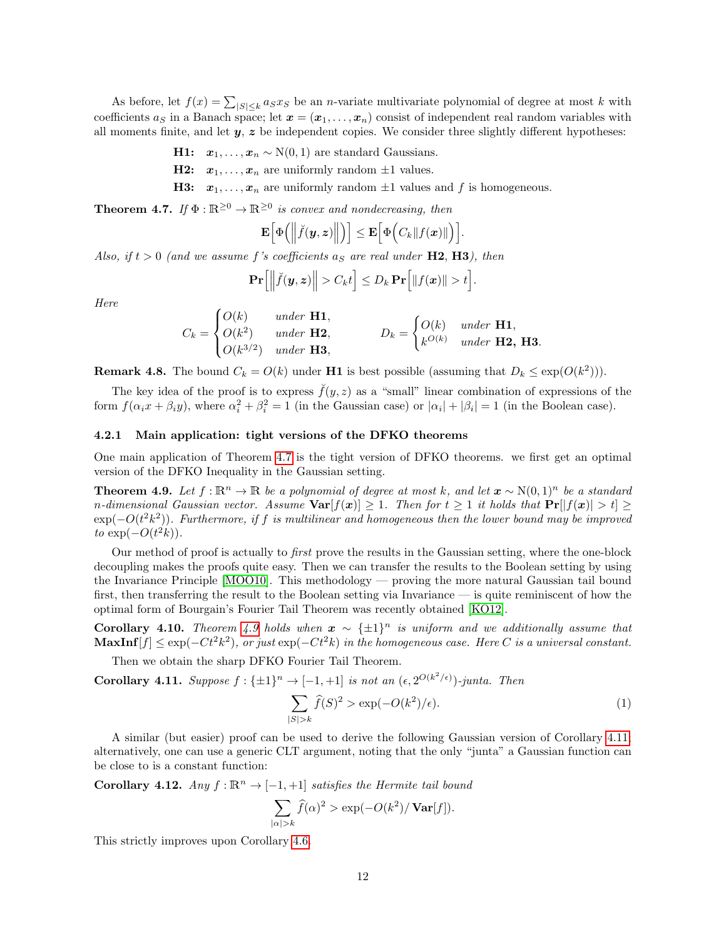As before, let  $f(x) = \sum_{|S| \leq k} a_S x_S$  be an *n*-variate multivariate polynomial of degree at most k with coefficients  $a_S$  in a Banach space; let  $\mathbf{x} = (\mathbf{x}_1, \ldots, \mathbf{x}_n)$  consist of independent real random variables with all moments finite, and let  $y$ ,  $z$  be independent copies. We consider three slightly different hypotheses:

H1:  $x_1, \ldots, x_n \sim N(0, 1)$  are standard Gaussians.

**H2:**  $x_1, \ldots, x_n$  are uniformly random  $\pm 1$  values.

**H3:**  $x_1, \ldots, x_n$  are uniformly random  $\pm 1$  values and f is homogeneous.

<span id="page-12-0"></span>**Theorem 4.7.** If  $\Phi : \mathbb{R}^{\geq 0} \to \mathbb{R}^{\geq 0}$  is convex and nondecreasing, then

$$
\mathbf{E}\Big[\Phi\Big(\Big\|\breve{f}(\boldsymbol{y},\boldsymbol{z})\Big\|\Big)\Big]\leq \mathbf{E}\Big[\Phi\Big(C_k\|f(\boldsymbol{x})\|\Big)\Big].
$$

Also, if  $t > 0$  (and we assume f's coefficients  $a<sub>S</sub>$  are real under H2, H3), then

$$
\mathbf{Pr}\Big[\Big\|\breve{f}(\boldsymbol{y},\boldsymbol{z})\Big\| > C_k t\Big] \leq D_k \, \mathbf{Pr}\Big[\|f(\boldsymbol{x})\| > t\Big].
$$

Here

$$
C_k = \begin{cases} O(k) & under \mathbf{H1}, \\ O(k^2) & under \mathbf{H2}, \\ O(k^{3/2}) & under \mathbf{H3}, \end{cases} \qquad D_k = \begin{cases} O(k) & under \mathbf{H1}, \\ k^{O(k)} & under \mathbf{H2}, \mathbf{H3}. \end{cases}
$$

**Remark 4.8.** The bound  $C_k = O(k)$  under **H1** is best possible (assuming that  $D_k \leq \exp(O(k^2))$ ).

The key idea of the proof is to express  $\check{f}(y, z)$  as a "small" linear combination of expressions of the form  $f(\alpha_i x + \beta_i y)$ , where  $\alpha_i^2 + \beta_i^2 = 1$  (in the Gaussian case) or  $|\alpha_i| + |\beta_i| = 1$  (in the Boolean case).

#### 4.2.1 Main application: tight versions of the DFKO theorems

One main application of Theorem [4.7](#page-12-0) is the tight version of DFKO theorems. we first get an optimal version of the DFKO Inequality in the Gaussian setting.

<span id="page-12-1"></span>**Theorem 4.9.** Let  $f: \mathbb{R}^n \to \mathbb{R}$  be a polynomial of degree at most k, and let  $x \sim N(0, 1)^n$  be a standard n-dimensional Gaussian vector. Assume  $\text{Var}[f(x)] \geq 1$ . Then for  $t \geq 1$  it holds that  $\text{Pr}[f(x)] > t \geq 1$ .  $\exp(-O(t^2k^2))$ . Furthermore, if f is multilinear and homogeneous then the lower bound may be improved to  $\exp(-O(t^2k)).$ 

Our method of proof is actually to first prove the results in the Gaussian setting, where the one-block decoupling makes the proofs quite easy. Then we can transfer the results to the Boolean setting by using the Invariance Principle [\[MOO10\]](#page-23-8). This methodology — proving the more natural Gaussian tail bound first, then transferring the result to the Boolean setting via Invariance — is quite reminiscent of how the optimal form of Bourgain's Fourier Tail Theorem was recently obtained [\[KO12\]](#page-22-13).

**Corollary 4.10.** Theorem [4.9](#page-12-1) holds when  $x \sim {\pm 1}^n$  is uniform and we additionally assume that  $\textbf{MaxInf}[f] \leq \exp(-Ct^2k^2)$ , or just  $\exp(-Ct^2k)$  in the homogeneous case. Here C is a universal constant.

Then we obtain the sharp DFKO Fourier Tail Theorem.

<span id="page-12-2"></span>Corollary 4.11. Suppose  $f: \{\pm 1\}^n \to [-1, +1]$  is not an  $(\epsilon, 2^{O(k^2/\epsilon)})$ -junta. Then

$$
\sum_{|S|>k} \widehat{f}(S)^2 > \exp(-O(k^2)/\epsilon). \tag{1}
$$

A similar (but easier) proof can be used to derive the following Gaussian version of Corollary [4.11;](#page-12-2) alternatively, one can use a generic CLT argument, noting that the only "junta" a Gaussian function can be close to is a constant function:

Corollary 4.12. Any  $f : \mathbb{R}^n \to [-1, +1]$  satisfies the Hermite tail bound

$$
\sum_{|\alpha|>k} \widehat{f}(\alpha)^2 > \exp(-O(k^2)/\operatorname{Var}[f]).
$$

This strictly improves upon Corollary [4.6.](#page-11-0)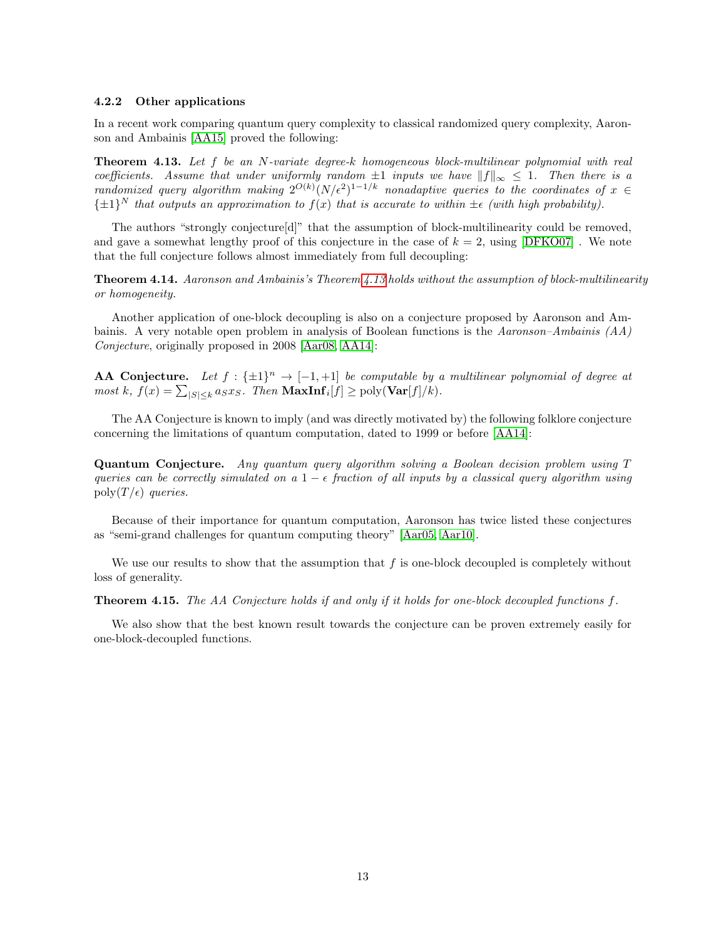#### 4.2.2 Other applications

In a recent work comparing quantum query complexity to classical randomized query complexity, Aaronson and Ambainis [\[AA15\]](#page-19-2) proved the following:

<span id="page-13-0"></span>**Theorem 4.13.** Let f be an N-variate degree-k homogeneous block-multilinear polynomial with real coefficients. Assume that under uniformly random  $\pm 1$  inputs we have  $||f||_{\infty} \leq 1$ . Then there is a randomized query algorithm making  $2^{O(k)}(N/\epsilon^2)^{1-1/k}$  nonadaptive queries to the coordinates of  $x \in$  $\{\pm 1\}^N$  that outputs an approximation to  $f(x)$  that is accurate to within  $\pm \epsilon$  (with high probability).

The authors "strongly conjecture[d]" that the assumption of block-multilinearity could be removed, and gave a somewhat lengthy proof of this conjecture in the case of  $k = 2$ , using [\[DFKO07\]](#page-20-10). We note that the full conjecture follows almost immediately from full decoupling:

Theorem 4.14. Aaronson and Ambainis's Theorem [4.13](#page-13-0) holds without the assumption of block-multilinearity or homogeneity.

Another application of one-block decoupling is also on a conjecture proposed by Aaronson and Ambainis. A very notable open problem in analysis of Boolean functions is the Aaronson–Ambainis  $(A)$ Conjecture, originally proposed in 2008 [\[Aar08,](#page-19-3) [AA14\]](#page-19-4):

**AA Conjecture.** Let  $f : \{\pm 1\}^n \to [-1, +1]$  be computable by a multilinear polynomial of degree at  $most\ k, f(x) = \sum_{|S| \leq k} a_S x_S$ . Then  $\text{MaxInf}_i[f] \geq \text{poly}(\text{Var}[f]/k)$ .

The AA Conjecture is known to imply (and was directly motivated by) the following folklore conjecture concerning the limitations of quantum computation, dated to 1999 or before [\[AA14\]](#page-19-4):

Quantum Conjecture. Any quantum query algorithm solving a Boolean decision problem using T queries can be correctly simulated on a  $1 - \epsilon$  fraction of all inputs by a classical query algorithm using poly $(T/\epsilon)$  queries.

Because of their importance for quantum computation, Aaronson has twice listed these conjectures as "semi-grand challenges for quantum computing theory" [\[Aar05,](#page-19-5) [Aar10\]](#page-19-6).

We use our results to show that the assumption that  $f$  is one-block decoupled is completely without loss of generality.

**Theorem 4.15.** The AA Conjecture holds if and only if it holds for one-block decoupled functions  $f$ .

We also show that the best known result towards the conjecture can be proven extremely easily for one-block-decoupled functions.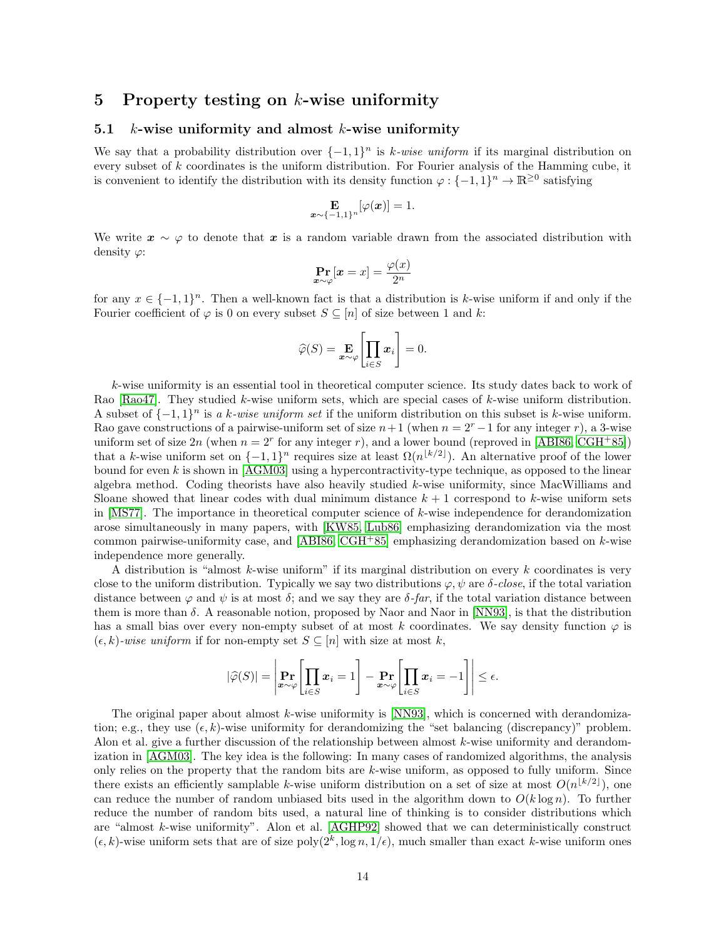# <span id="page-14-0"></span>5 Property testing on  $k$ -wise uniformity

# 5.1  $k$ -wise uniformity and almost  $k$ -wise uniformity

We say that a probability distribution over  $\{-1,1\}^n$  is k-wise uniform if its marginal distribution on every subset of k coordinates is the uniform distribution. For Fourier analysis of the Hamming cube, it is convenient to identify the distribution with its density function  $\varphi : \{-1,1\}^n \to \mathbb{R}^{\geq 0}$  satisfying

$$
\mathop{\mathbf{E}}_{\boldsymbol{x}\sim \{-1,1\}^n}[\varphi(\boldsymbol{x})] = 1.
$$

We write  $x \sim \varphi$  to denote that x is a random variable drawn from the associated distribution with density  $\varphi$ :

$$
\Pr_{\boldsymbol{x} \sim \varphi}[\boldsymbol{x} = x] = \frac{\varphi(x)}{2^n}
$$

for any  $x \in \{-1,1\}^n$ . Then a well-known fact is that a distribution is k-wise uniform if and only if the Fourier coefficient of  $\varphi$  is 0 on every subset  $S \subseteq [n]$  of size between 1 and k:

$$
\widehat{\varphi}(S) = \mathop{\mathbf{E}}_{\boldsymbol{x}\sim\varphi} \left[ \prod_{i\in S} \boldsymbol{x}_i \right] = 0.
$$

k-wise uniformity is an essential tool in theoretical computer science. Its study dates back to work of Rao [\[Rao47\]](#page-23-9). They studied k-wise uniform sets, which are special cases of k-wise uniform distribution. A subset of  $\{-1,1\}^n$  is a k-wise uniform set if the uniform distribution on this subset is k-wise uniform. Rao gave constructions of a pairwise-uniform set of size  $n+1$  (when  $n=2<sup>r</sup>-1$  for any integer r), a 3-wise uniform set of size  $2n$  (when  $n = 2^r$  for any integer r), and a lower bound (reproved in [\[ABI86,](#page-19-7) [CGH](#page-20-12)<sup>+</sup>85]) that a k-wise uniform set on  $\{-1,1\}^n$  requires size at least  $\Omega(n^{\lfloor k/2 \rfloor})$ . An alternative proof of the lower bound for even k is shown in  $[AGM03]$  using a hypercontractivity-type technique, as opposed to the linear algebra method. Coding theorists have also heavily studied k-wise uniformity, since MacWilliams and Sloane showed that linear codes with dual minimum distance  $k + 1$  correspond to k-wise uniform sets in [\[MS77\]](#page-23-10). The importance in theoretical computer science of  $k$ -wise independence for derandomization arose simultaneously in many papers, with [\[KW85,](#page-22-15) [Lub86\]](#page-23-11) emphasizing derandomization via the most common pairwise-uniformity case, and [\[ABI86,](#page-19-7) [CGH](#page-20-12)+85] emphasizing derandomization based on  $k$ -wise independence more generally.

A distribution is "almost k-wise uniform" if its marginal distribution on every  $k$  coordinates is very close to the uniform distribution. Typically we say two distributions  $\varphi, \psi$  are  $\delta$ -close, if the total variation distance between  $\varphi$  and  $\psi$  is at most  $\delta$ ; and we say they are  $\delta$ -far, if the total variation distance between them is more than  $\delta$ . A reasonable notion, proposed by Naor and Naor in [\[NN93\]](#page-23-12), is that the distribution has a small bias over every non-empty subset of at most k coordinates. We say density function  $\varphi$  is  $(\epsilon, k)$ -wise uniform if for non-empty set  $S \subseteq [n]$  with size at most k,

$$
|\widehat{\varphi}(S)| = \left|\Pr_{\boldsymbol{x} \sim \varphi} \left[\prod_{i \in S} \boldsymbol{x}_i = 1\right] - \Pr_{\boldsymbol{x} \sim \varphi} \left[\prod_{i \in S} \boldsymbol{x}_i = -1\right]\right| \le \epsilon.
$$

The original paper about almost  $k$ -wise uniformity is [\[NN93\]](#page-23-12), which is concerned with derandomization; e.g., they use  $(\epsilon, k)$ -wise uniformity for derandomizing the "set balancing (discrepancy)" problem. Alon et al. give a further discussion of the relationship between almost  $k$ -wise uniformity and derandomization in [\[AGM03\]](#page-19-8). The key idea is the following: In many cases of randomized algorithms, the analysis only relies on the property that the random bits are  $k$ -wise uniform, as opposed to fully uniform. Since there exists an efficiently samplable k-wise uniform distribution on a set of size at most  $O(n^{\lfloor k/2 \rfloor})$ , one can reduce the number of random unbiased bits used in the algorithm down to  $O(k \log n)$ . To further reduce the number of random bits used, a natural line of thinking is to consider distributions which are "almost k-wise uniformity". Alon et al. [\[AGHP92\]](#page-19-9) showed that we can deterministically construct  $(\epsilon, k)$ -wise uniform sets that are of size poly $(2^k, \log n, 1/\epsilon)$ , much smaller than exact k-wise uniform ones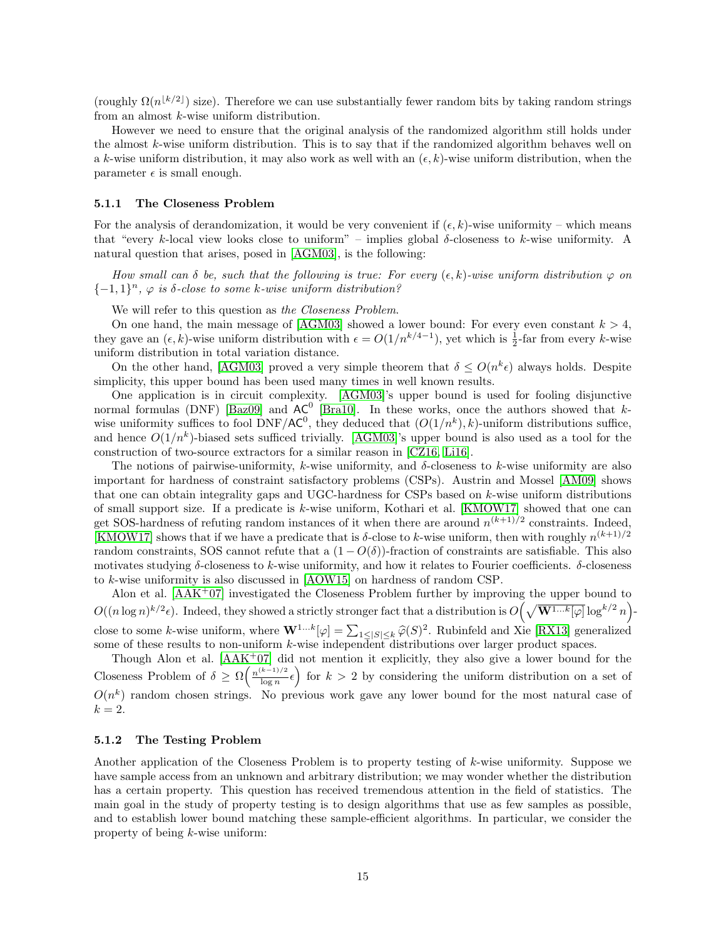(roughly  $\Omega(n^{\lfloor k/2 \rfloor})$  size). Therefore we can use substantially fewer random bits by taking random strings from an almost k-wise uniform distribution.

However we need to ensure that the original analysis of the randomized algorithm still holds under the almost k-wise uniform distribution. This is to say that if the randomized algorithm behaves well on a k-wise uniform distribution, it may also work as well with an  $(\epsilon, k)$ -wise uniform distribution, when the parameter  $\epsilon$  is small enough.

#### 5.1.1 The Closeness Problem

For the analysis of derandomization, it would be very convenient if  $(\epsilon, k)$ -wise uniformity – which means that "every k-local view looks close to uniform" – implies global  $\delta$ -closeness to k-wise uniformity. A natural question that arises, posed in [\[AGM03\]](#page-19-8), is the following:

How small can  $\delta$  be, such that the following is true: For every  $(\epsilon, k)$ -wise uniform distribution  $\varphi$  on  ${-1, 1}^n$ ,  $\varphi$  is  $\delta$ -close to some k-wise uniform distribution?

We will refer to this question as the Closeness Problem.

On one hand, the main message of [\[AGM03\]](#page-19-8) showed a lower bound: For every even constant  $k > 4$ , they gave an  $(\epsilon, k)$ -wise uniform distribution with  $\epsilon = O(1/n^{k/4-1})$ , yet which is  $\frac{1}{2}$ -far from every k-wise uniform distribution in total variation distance.

On the other hand, [\[AGM03\]](#page-19-8) proved a very simple theorem that  $\delta \le O(n^k \epsilon)$  always holds. Despite simplicity, this upper bound has been used many times in well known results.

One application is in circuit complexity. [\[AGM03\]](#page-19-8)'s upper bound is used for fooling disjunctive normal formulas (DNF) [\[Baz09\]](#page-19-10) and  $AC^0$  [\[Bra10\]](#page-20-13). In these works, once the authors showed that kwise uniformity suffices to fool DNF/AC<sup>0</sup>, they deduced that  $(O(1/n^k), k)$ -uniform distributions suffice, and hence  $O(1/n^k)$ -biased sets sufficed trivially. [\[AGM03\]](#page-19-8)'s upper bound is also used as a tool for the construction of two-source extractors for a similar reason in [\[CZ16,](#page-20-14) [Li16\]](#page-22-16).

The notions of pairwise-uniformity, k-wise uniformity, and  $\delta$ -closeness to k-wise uniformity are also important for hardness of constraint satisfactory problems (CSPs). Austrin and Mossel [\[AM09\]](#page-19-11) shows that one can obtain integrality gaps and UGC-hardness for CSPs based on  $k$ -wise uniform distributions of small support size. If a predicate is k-wise uniform, Kothari et al. [\[KMOW17\]](#page-22-17) showed that one can get SOS-hardness of refuting random instances of it when there are around  $n^{(k+1)/2}$  constraints. Indeed, [\[KMOW17\]](#page-22-17) shows that if we have a predicate that is  $\delta$ -close to k-wise uniform, then with roughly  $n^{(k+1)/2}$ random constraints, SOS cannot refute that a  $(1 - O(\delta))$ -fraction of constraints are satisfiable. This also motivates studying  $\delta$ -closeness to k-wise uniformity, and how it relates to Fourier coefficients.  $\delta$ -closeness to k-wise uniformity is also discussed in [\[AOW15\]](#page-19-12) on hardness of random CSP.

Alon et al. [\[AAK](#page-19-13)+07] investigated the Closeness Problem further by improving the upper bound to  $O((n \log n)^{k/2} \epsilon)$ . Indeed, they showed a strictly stronger fact that a distribution is  $O(\sqrt{\mathbf{W}^{1...k}[\varphi]}\log^{k/2} n)$ close to some k-wise uniform, where  $\mathbf{W}^{1...k}[\varphi] = \sum_{1 \leq |S| \leq k} \widehat{\varphi}(S)^2$ . Rubinfeld and Xie [\[RX13\]](#page-23-13) generalized some of these results to non-uniform k-wise independent distributions over larger product spaces.

Though Alon et al. [\[AAK](#page-19-13)+07] did not mention it explicitly, they also give a lower bound for the Closeness Problem of  $\delta \geq \Omega \left( \frac{n^{(k-1)/2}}{\log n} \right)$  $\frac{k-1}{\log n} \epsilon$  for  $k > 2$  by considering the uniform distribution on a set of  $O(n^k)$  random chosen strings. No previous work gave any lower bound for the most natural case of  $k=2$ .

#### 5.1.2 The Testing Problem

Another application of the Closeness Problem is to property testing of k-wise uniformity. Suppose we have sample access from an unknown and arbitrary distribution; we may wonder whether the distribution has a certain property. This question has received tremendous attention in the field of statistics. The main goal in the study of property testing is to design algorithms that use as few samples as possible, and to establish lower bound matching these sample-efficient algorithms. In particular, we consider the property of being k-wise uniform: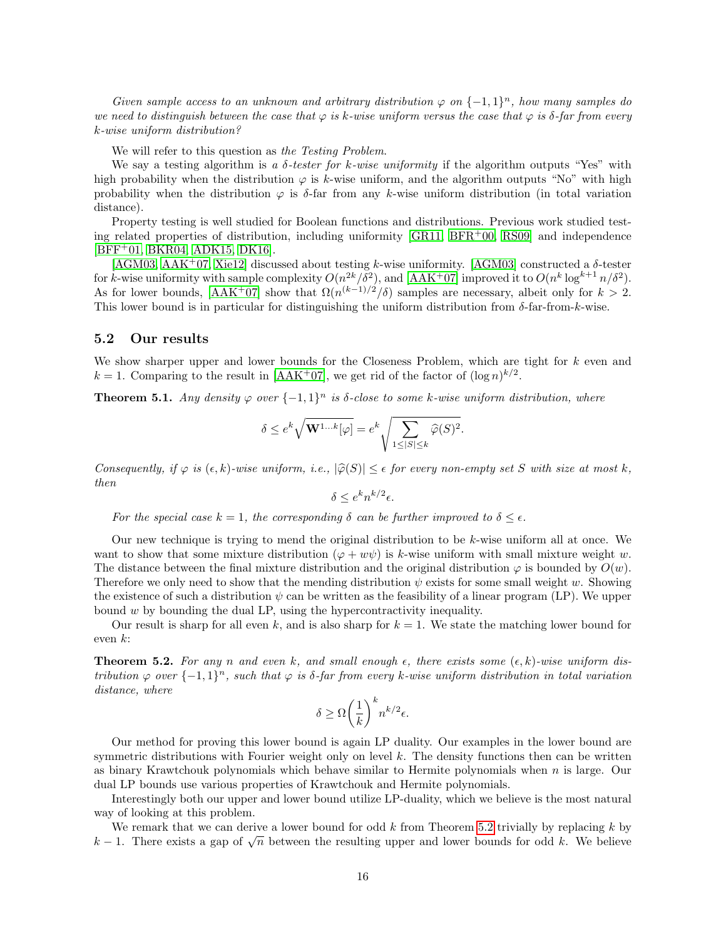Given sample access to an unknown and arbitrary distribution  $\varphi$  on  $\{-1,1\}^n$ , how many samples do we need to distinguish between the case that  $\varphi$  is k-wise uniform versus the case that  $\varphi$  is  $\delta$ -far from every k-wise uniform distribution?

We will refer to this question as the Testing Problem.

We say a testing algorithm is a  $\delta$ -tester for k-wise uniformity if the algorithm outputs "Yes" with high probability when the distribution  $\varphi$  is k-wise uniform, and the algorithm outputs "No" with high probability when the distribution  $\varphi$  is  $\delta$ -far from any k-wise uniform distribution (in total variation distance).

Property testing is well studied for Boolean functions and distributions. Previous work studied testing related properties of distribution, including uniformity [\[GR11,](#page-21-3) [BFR](#page-19-14)+00, [RS09\]](#page-23-14) and independence [\[BFF](#page-19-15)+01, [BKR04,](#page-20-15) [ADK15,](#page-19-16) [DK16\]](#page-20-16).

 $[AGM03, AAK<sup>+</sup>07, Xie12]$  $[AGM03, AAK<sup>+</sup>07, Xie12]$  $[AGM03, AAK<sup>+</sup>07, Xie12]$  $[AGM03, AAK<sup>+</sup>07, Xie12]$  discussed about testing k-wise uniformity.  $[AGM03]$  constructed a  $\delta$ -tester for k-wise uniformity with sample complexity  $O(n^{2k}/\delta^2)$ , and [\[AAK](#page-19-13)<sup>+</sup>07] improved it to  $O(n^k \log^{k+1} n/\delta^2)$ . As for lower bounds,  $[AAK^+07]$  $[AAK^+07]$  show that  $\Omega(n^{(k-1)/2}/\delta)$  samples are necessary, albeit only for  $k > 2$ . This lower bound is in particular for distinguishing the uniform distribution from  $\delta$ -far-from-k-wise.

# 5.2 Our results

We show sharper upper and lower bounds for the Closeness Problem, which are tight for k even and  $k = 1$ . Comparing to the result in [\[AAK](#page-19-13)<sup>+</sup>07], we get rid of the factor of  $(\log n)^{k/2}$ .

**Theorem 5.1.** Any density  $\varphi$  over  $\{-1,1\}^n$  is  $\delta$ -close to some k-wise uniform distribution, where

$$
\delta \le e^k \sqrt{\mathbf{W}^{1...k}[\varphi]} = e^k \sqrt{\sum_{1 \le |S| \le k} \widehat{\varphi}(S)^2}.
$$

Consequently, if  $\varphi$  is  $(\epsilon, k)$ -wise uniform, i.e.,  $|\widehat{\varphi}(S)| \leq \epsilon$  for every non-empty set S with size at most k, then

 $\delta \leq e^k n^{k/2} \epsilon.$ 

For the special case  $k = 1$ , the corresponding  $\delta$  can be further improved to  $\delta \leq \epsilon$ .

Our new technique is trying to mend the original distribution to be k-wise uniform all at once. We want to show that some mixture distribution  $(\varphi + w\psi)$  is k-wise uniform with small mixture weight w. The distance between the final mixture distribution and the original distribution  $\varphi$  is bounded by  $O(w)$ . Therefore we only need to show that the mending distribution  $\psi$  exists for some small weight w. Showing the existence of such a distribution  $\psi$  can be written as the feasibility of a linear program (LP). We upper bound w by bounding the dual LP, using the hypercontractivity inequality.

Our result is sharp for all even k, and is also sharp for  $k = 1$ . We state the matching lower bound for even  $k$ :

<span id="page-16-0"></span>**Theorem 5.2.** For any n and even k, and small enough  $\epsilon$ , there exists some  $(\epsilon, k)$ -wise uniform distribution  $\varphi$  over  $\{-1,1\}^n$ , such that  $\varphi$  is  $\delta$ -far from every k-wise uniform distribution in total variation distance, where

$$
\delta \ge \Omega \bigg( \frac{1}{k} \bigg)^k n^{k/2} \epsilon.
$$

Our method for proving this lower bound is again LP duality. Our examples in the lower bound are symmetric distributions with Fourier weight only on level  $k$ . The density functions then can be written as binary Krawtchouk polynomials which behave similar to Hermite polynomials when n is large. Our dual LP bounds use various properties of Krawtchouk and Hermite polynomials.

Interestingly both our upper and lower bound utilize LP-duality, which we believe is the most natural way of looking at this problem.

We remark that we can derive a lower bound for odd  $k$  from Theorem [5.2](#page-16-0) trivially by replacing  $k$  by we remark that we can derive a lower bound for odd k from Theorem 3.2 trivially by replacing k by  $k-1$ . There exists a gap of  $\sqrt{n}$  between the resulting upper and lower bounds for odd k. We believe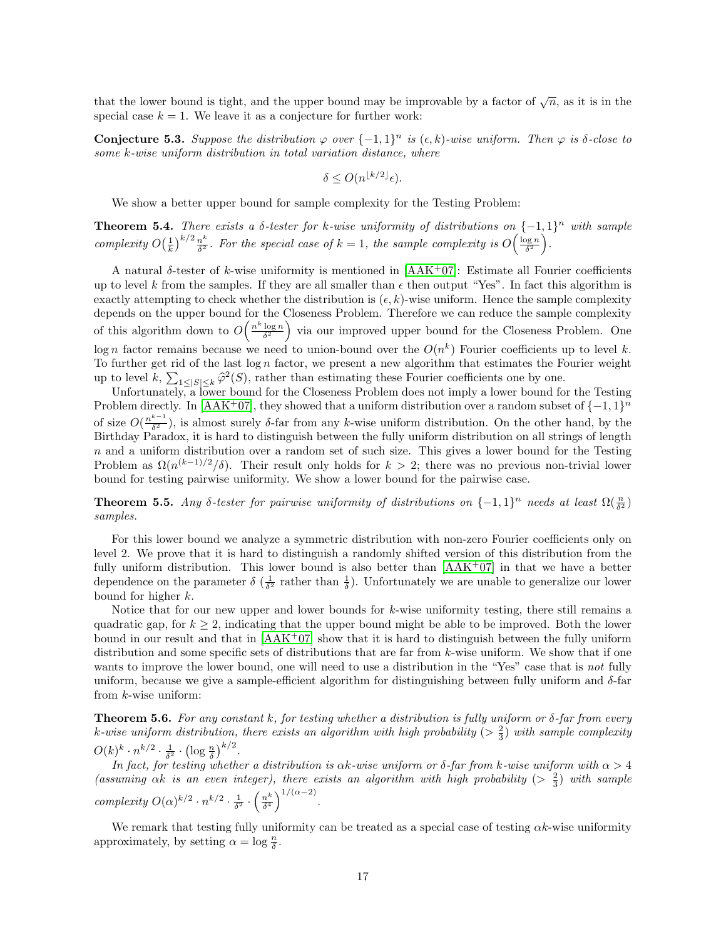that the lower bound is tight, and the upper bound may be improvable by a factor of  $\sqrt{n}$ , as it is in the special case  $k = 1$ . We leave it as a conjecture for further work:

**Conjecture 5.3.** Suppose the distribution  $\varphi$  over  $\{-1,1\}^n$  is  $(\epsilon, k)$ -wise uniform. Then  $\varphi$  is  $\delta$ -close to some k-wise uniform distribution in total variation distance, where

$$
\delta \le O(n^{\lfloor k/2 \rfloor} \epsilon).
$$

We show a better upper bound for sample complexity for the Testing Problem:

<span id="page-17-0"></span>**Theorem 5.4.** There exists a  $\delta$ -tester for k-wise uniformity of distributions on  $\{-1,1\}^n$  with sample complexity  $O(\frac{1}{k})^{k/2} \frac{n^k}{\delta^2}$  $\frac{n^k}{\delta^2}$ . For the special case of  $k=1$ , the sample complexity is  $O\left(\frac{\log n}{\delta^2}\right)$ .

A natural  $\delta$ -tester of k-wise uniformity is mentioned in [\[AAK](#page-19-13)+07]: Estimate all Fourier coefficients up to level k from the samples. If they are all smaller than  $\epsilon$  then output "Yes". In fact this algorithm is exactly attempting to check whether the distribution is  $(\epsilon, k)$ -wise uniform. Hence the sample complexity depends on the upper bound for the Closeness Problem. Therefore we can reduce the sample complexity of this algorithm down to  $O\left(\frac{n^k \log n}{\delta^2}\right)$  via our improved upper bound for the Closeness Problem. One log n factor remains because we need to union-bound over the  $O(n^k)$  Fourier coefficients up to level k. To further get rid of the last  $\log n$  factor, we present a new algorithm that estimates the Fourier weight up to level  $k$ ,  $\sum_{1 \leq |S| \leq k} \hat{\varphi}^2(S)$ , rather than estimating these Fourier coefficients one by one.<br>Unfortunately a lower bound for the Closeness Problem does not imply a lower bound for

Unfortunately, a lower bound for the Closeness Problem does not imply a lower bound for the Testing Problem directly. In [\[AAK](#page-19-13)<sup>+</sup>07], they showed that a uniform distribution over a random subset of  $\{-1,1\}^n$ of size  $O(\frac{n^{k-1}}{\delta^2})$  $\frac{k-1}{\delta^2}$ , is almost surely  $\delta$ -far from any k-wise uniform distribution. On the other hand, by the Birthday Paradox, it is hard to distinguish between the fully uniform distribution on all strings of length  $n$  and a uniform distribution over a random set of such size. This gives a lower bound for the Testing Problem as  $\Omega(n^{(k-1)/2}/\delta)$ . Their result only holds for  $k > 2$ ; there was no previous non-trivial lower bound for testing pairwise uniformity. We show a lower bound for the pairwise case.

**Theorem 5.5.** Any δ-tester for pairwise uniformity of distributions on  $\{-1,1\}^n$  needs at least  $\Omega(\frac{n}{\delta^2})$ samples.

For this lower bound we analyze a symmetric distribution with non-zero Fourier coefficients only on level 2. We prove that it is hard to distinguish a randomly shifted version of this distribution from the fully uniform distribution. This lower bound is also better than  $[AAK^+07]$  $[AAK^+07]$  in that we have a better dependence on the parameter  $\delta\left(\frac{1}{\delta^2}\right)$  rather than  $\frac{1}{\delta}$ . Unfortunately we are unable to generalize our lower bound for higher k.

Notice that for our new upper and lower bounds for  $k$ -wise uniformity testing, there still remains a quadratic gap, for  $k \geq 2$ , indicating that the upper bound might be able to be improved. Both the lower bound in our result and that in  $[AAK^+07]$  $[AAK^+07]$  show that it is hard to distinguish between the fully uniform distribution and some specific sets of distributions that are far from k-wise uniform. We show that if one wants to improve the lower bound, one will need to use a distribution in the "Yes" case that is not fully uniform, because we give a sample-efficient algorithm for distinguishing between fully uniform and  $\delta$ -far from k-wise uniform:

**Theorem 5.6.** For any constant k, for testing whether a distribution is fully uniform or  $\delta$ -far from every k-wise uniform distribution, there exists an algorithm with high probability ( $>\frac{2}{3}$ ) with sample complexity  $O(k)^k \cdot n^{k/2} \cdot \frac{1}{\delta^2} \cdot \left(\log \frac{n}{\delta}\right)^{k/2}.$ 

In fact, for testing whether a distribution is  $\alpha k$ -wise uniform or δ-far from k-wise uniform with  $\alpha > 4$ (assuming  $\alpha k$  is an even integer), there exists an algorithm with high probability ( $> \frac{2}{3}$ ) with sample complexity  $O(\alpha)^{k/2} \cdot n^{k/2} \cdot \frac{1}{\delta^2} \cdot \left(\frac{n^k}{\delta^4}\right)$  $\frac{n^k}{\delta^4}\Big)^{1/(\alpha-2)}.$ 

We remark that testing fully uniformity can be treated as a special case of testing  $\alpha k$ -wise uniformity approximately, by setting  $\alpha = \log \frac{n}{\delta}$ .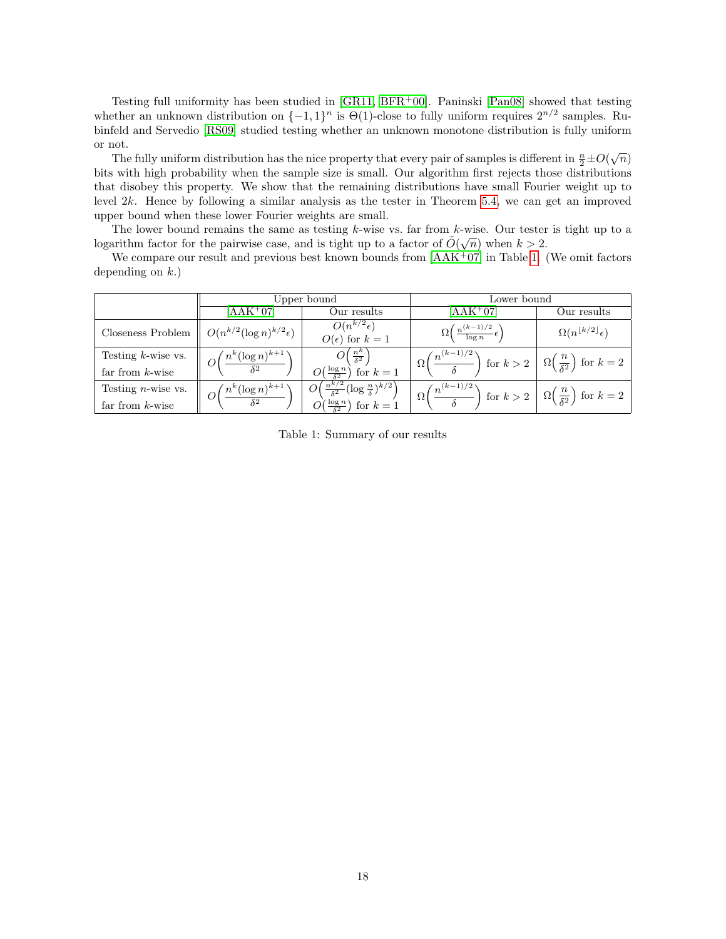Testing full uniformity has been studied in  $[GR11, BFR<sup>+</sup>00]$  $[GR11, BFR<sup>+</sup>00]$  $[GR11, BFR<sup>+</sup>00]$ . Paninski  $[Pan08]$  showed that testing whether an unknown distribution on  $\{-1,1\}^n$  is  $\Theta(1)$ -close to fully uniform requires  $2^{n/2}$  samples. Rubinfeld and Servedio [\[RS09\]](#page-23-14) studied testing whether an unknown monotone distribution is fully uniform or not.

The fully uniform distribution has the nice property that every pair of samples is different in  $\frac{n}{2} \pm O(\sqrt{n})$ bits with high probability when the sample size is small. Our algorithm first rejects those distributions that disobey this property. We show that the remaining distributions have small Fourier weight up to level 2k. Hence by following a similar analysis as the tester in Theorem [5.4,](#page-17-0) we can get an improved upper bound when these lower Fourier weights are small.

The lower bound remains the same as testing k-wise vs. far from k-wise. Our tester is tight up to a logarithm factor for the pairwise case, and is tight up to a factor of  $\tilde{O}(\sqrt{n})$  when  $k > 2$ .

We compare our result and previous best known bounds from  $[AAK<sup>+</sup>07]$  $[AAK<sup>+</sup>07]$  in Table [1.](#page-18-0) (We omit factors depending on  $k$ .)

<span id="page-18-0"></span>

|                                                                 | Upper bound                                                               |                                                                                                                           | Lower bound                                                                                                                            |                                            |
|-----------------------------------------------------------------|---------------------------------------------------------------------------|---------------------------------------------------------------------------------------------------------------------------|----------------------------------------------------------------------------------------------------------------------------------------|--------------------------------------------|
|                                                                 | $\rm [AAK^+07]$                                                           | Our results                                                                                                               | $[AAK^+07]$                                                                                                                            | Our results                                |
| Closeness Problem $\parallel O(n^{k/2}(\log n)^{k/2} \epsilon)$ |                                                                           | $O(n^{k/2}\epsilon)$<br>$O(\epsilon)$ for $k=1$                                                                           | $\Omega\left(\frac{n^{(k-1)/2}}{\log n}\epsilon\right)$                                                                                | $\Omega(n^{\lfloor k/2 \rfloor} \epsilon)$ |
| Testing $k$ -wise vs.<br>far from $k$ -wise                     | $\parallel \; O\biggl(\frac{n^k(\log n)^{k+1} }{\delta^2}\rangle$         | $O\left(\frac{n^k}{\delta^2}\right)$<br>$O(\frac{\log n}{s^2})$ for $k=1$                                                 | $\Omega\left(\frac{n^{(k-1)/2}}{\delta}\right)$ for $k>2$ $\left\lfloor \Omega\left(\frac{n}{\delta^2}\right) \right\rfloor$ for $k=2$ |                                            |
| Testing $n$ -wise vs.<br>far from $k$ -wise                     | $\parallel~ {\cal O} \biggl( {n^k (\log n)^{k+1} \over \delta^2} \rangle$ | $\left(\frac{n^{k/2}}{\delta^2} (\log \frac{n}{\delta})^{k/2}\right)$<br>$\mathcal{O}(\frac{\log n}{\delta^2})$ for $k=1$ | $\Omega\left(\frac{n^{(k-1)/2}}{\delta}\right)$ for $k>2$ $\left\lfloor \Omega\left(\frac{n}{\delta^2}\right) \right\rfloor$ for $k=2$ |                                            |

Table 1: Summary of our results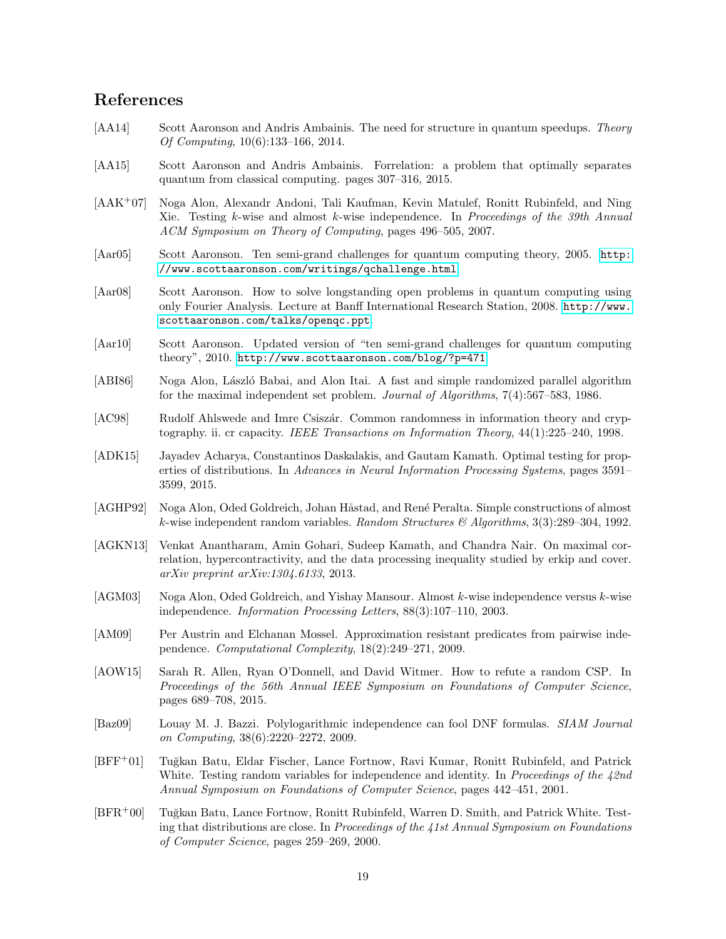# References

- <span id="page-19-4"></span>[AA14] Scott Aaronson and Andris Ambainis. The need for structure in quantum speedups. Theory Of Computing, 10(6):133–166, 2014.
- <span id="page-19-2"></span>[AA15] Scott Aaronson and Andris Ambainis. Forrelation: a problem that optimally separates quantum from classical computing. pages 307–316, 2015.
- <span id="page-19-13"></span>[AAK+07] Noga Alon, Alexandr Andoni, Tali Kaufman, Kevin Matulef, Ronitt Rubinfeld, and Ning Xie. Testing k-wise and almost k-wise independence. In Proceedings of the 39th Annual ACM Symposium on Theory of Computing, pages 496–505, 2007.
- <span id="page-19-5"></span>[Aar05] Scott Aaronson. Ten semi-grand challenges for quantum computing theory, 2005. [http:](http://www.scottaaronson.com/writings/qchallenge.html) [//www.scottaaronson.com/writings/qchallenge.html](http://www.scottaaronson.com/writings/qchallenge.html).
- <span id="page-19-3"></span>[Aar08] Scott Aaronson. How to solve longstanding open problems in quantum computing using only Fourier Analysis. Lecture at Banff International Research Station, 2008. [http://www.](http://www.scottaaronson.com/talks/openqc.ppt) [scottaaronson.com/talks/openqc.ppt](http://www.scottaaronson.com/talks/openqc.ppt).
- <span id="page-19-6"></span>[Aar10] Scott Aaronson. Updated version of "ten semi-grand challenges for quantum computing theory", 2010. <http://www.scottaaronson.com/blog/?p=471>.
- <span id="page-19-7"></span>[ABI86] Noga Alon, László Babai, and Alon Itai. A fast and simple randomized parallel algorithm for the maximal independent set problem. Journal of Algorithms, 7(4):567–583, 1986.
- <span id="page-19-0"></span>[AC98] Rudolf Ahlswede and Imre Csiszár. Common randomness in information theory and cryptography. ii. cr capacity. IEEE Transactions on Information Theory, 44(1):225–240, 1998.
- <span id="page-19-16"></span>[ADK15] Jayadev Acharya, Constantinos Daskalakis, and Gautam Kamath. Optimal testing for properties of distributions. In Advances in Neural Information Processing Systems, pages 3591– 3599, 2015.
- <span id="page-19-9"></span>[AGHP92] Noga Alon, Oded Goldreich, Johan Håstad, and René Peralta. Simple constructions of almost k-wise independent random variables. Random Structures  $\mathcal{B}'$  Algorithms, 3(3):289–304, 1992.
- <span id="page-19-1"></span>[AGKN13] Venkat Anantharam, Amin Gohari, Sudeep Kamath, and Chandra Nair. On maximal correlation, hypercontractivity, and the data processing inequality studied by erkip and cover. arXiv preprint arXiv:1304.6133, 2013.
- <span id="page-19-8"></span>[AGM03] Noga Alon, Oded Goldreich, and Yishay Mansour. Almost k-wise independence versus k-wise independence. Information Processing Letters, 88(3):107–110, 2003.
- <span id="page-19-11"></span>[AM09] Per Austrin and Elchanan Mossel. Approximation resistant predicates from pairwise independence. Computational Complexity, 18(2):249–271, 2009.
- <span id="page-19-12"></span>[AOW15] Sarah R. Allen, Ryan O'Donnell, and David Witmer. How to refute a random CSP. In Proceedings of the 56th Annual IEEE Symposium on Foundations of Computer Science, pages 689–708, 2015.
- <span id="page-19-10"></span>[Baz09] Louay M. J. Bazzi. Polylogarithmic independence can fool DNF formulas. SIAM Journal on Computing, 38(6):2220–2272, 2009.
- <span id="page-19-15"></span>[BFF<sup>+</sup>01] Tu˘gkan Batu, Eldar Fischer, Lance Fortnow, Ravi Kumar, Ronitt Rubinfeld, and Patrick White. Testing random variables for independence and identity. In Proceedings of the  $42nd$ Annual Symposium on Foundations of Computer Science, pages 442–451, 2001.
- <span id="page-19-14"></span>[BFR<sup>+</sup>00] Tuğkan Batu, Lance Fortnow, Ronitt Rubinfeld, Warren D. Smith, and Patrick White. Testing that distributions are close. In Proceedings of the 41st Annual Symposium on Foundations of Computer Science, pages 259–269, 2000.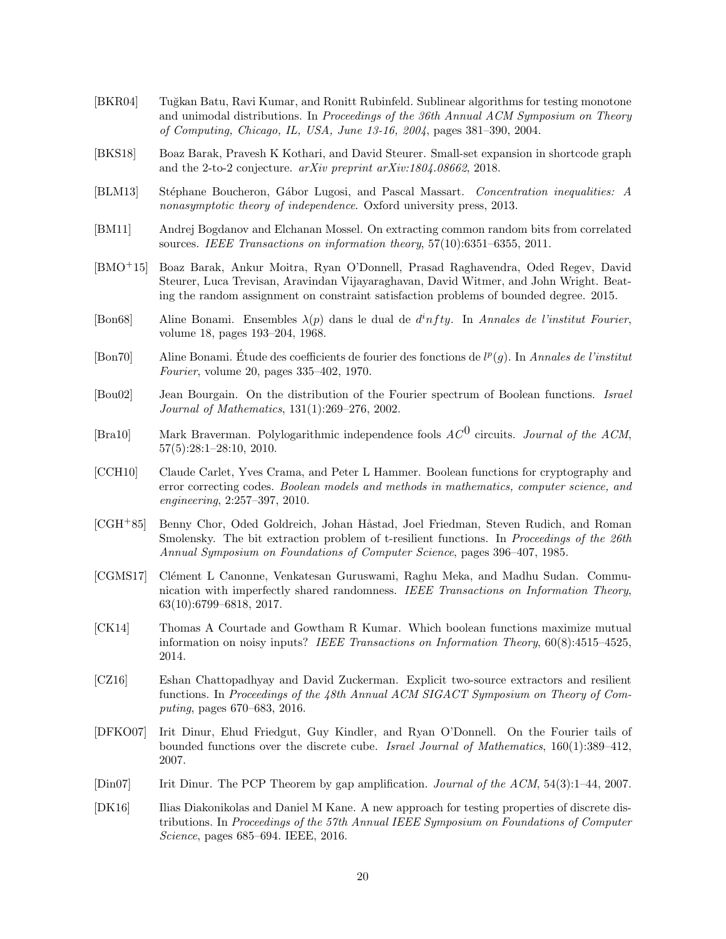- <span id="page-20-15"></span>[BKR04] Tuğkan Batu, Ravi Kumar, and Ronitt Rubinfeld. Sublinear algorithms for testing monotone and unimodal distributions. In Proceedings of the 36th Annual ACM Symposium on Theory of Computing, Chicago, IL, USA, June 13-16, 2004, pages 381–390, 2004.
- <span id="page-20-4"></span>[BKS18] Boaz Barak, Pravesh K Kothari, and David Steurer. Small-set expansion in shortcode graph and the 2-to-2 conjecture. arXiv preprint arXiv:1804.08662, 2018.
- <span id="page-20-1"></span>[BLM13] Stéphane Boucheron, Gábor Lugosi, and Pascal Massart. Concentration inequalities: A nonasymptotic theory of independence. Oxford university press, 2013.
- <span id="page-20-5"></span>[BM11] Andrej Bogdanov and Elchanan Mossel. On extracting common random bits from correlated sources. IEEE Transactions on information theory, 57(10):6351–6355, 2011.
- <span id="page-20-11"></span>[BMO+15] Boaz Barak, Ankur Moitra, Ryan O'Donnell, Prasad Raghavendra, Oded Regev, David Steurer, Luca Trevisan, Aravindan Vijayaraghavan, David Witmer, and John Wright. Beating the random assignment on constraint satisfaction problems of bounded degree. 2015.
- <span id="page-20-3"></span>[Bon68] Aline Bonami. Ensembles  $\lambda(p)$  dans le dual de  $d<sup>i</sup>nfty$ . In Annales de l'institut Fourier, volume 18, pages 193–204, 1968.
- <span id="page-20-0"></span>[Bon70] Aline Bonami. Étude des coefficients de fourier des fonctions de  $l^p(g)$ . In Annales de l'institut Fourier, volume 20, pages 335–402, 1970.
- <span id="page-20-8"></span>[Bou02] Jean Bourgain. On the distribution of the Fourier spectrum of Boolean functions. Israel Journal of Mathematics, 131(1):269–276, 2002.
- <span id="page-20-13"></span>[Bra10] Mark Braverman. Polylogarithmic independence fools  $AC^0$  circuits. Journal of the ACM, 57(5):28:1–28:10, 2010.
- <span id="page-20-2"></span>[CCH10] Claude Carlet, Yves Crama, and Peter L Hammer. Boolean functions for cryptography and error correcting codes. Boolean models and methods in mathematics, computer science, and engineering, 2:257–397, 2010.
- <span id="page-20-12"></span>[CGH<sup>+</sup>85] Benny Chor, Oded Goldreich, Johan Håstad, Joel Friedman, Steven Rudich, and Roman Smolensky. The bit extraction problem of t-resilient functions. In Proceedings of the 26th Annual Symposium on Foundations of Computer Science, pages 396–407, 1985.
- <span id="page-20-7"></span>[CGMS17] Clément L Canonne, Venkatesan Guruswami, Raghu Meka, and Madhu Sudan. Communication with imperfectly shared randomness. IEEE Transactions on Information Theory, 63(10):6799–6818, 2017.
- <span id="page-20-6"></span>[CK14] Thomas A Courtade and Gowtham R Kumar. Which boolean functions maximize mutual information on noisy inputs? IEEE Transactions on Information Theory, 60(8):4515–4525, 2014.
- <span id="page-20-14"></span>[CZ16] Eshan Chattopadhyay and David Zuckerman. Explicit two-source extractors and resilient functions. In Proceedings of the 48th Annual ACM SIGACT Symposium on Theory of Computing, pages 670–683, 2016.
- <span id="page-20-10"></span>[DFKO07] Irit Dinur, Ehud Friedgut, Guy Kindler, and Ryan O'Donnell. On the Fourier tails of bounded functions over the discrete cube. Israel Journal of Mathematics, 160(1):389–412, 2007.
- <span id="page-20-9"></span>[Din07] Irit Dinur. The PCP Theorem by gap amplification. Journal of the ACM, 54(3):1–44, 2007.
- <span id="page-20-16"></span>[DK16] Ilias Diakonikolas and Daniel M Kane. A new approach for testing properties of discrete distributions. In Proceedings of the 57th Annual IEEE Symposium on Foundations of Computer Science, pages 685–694. IEEE, 2016.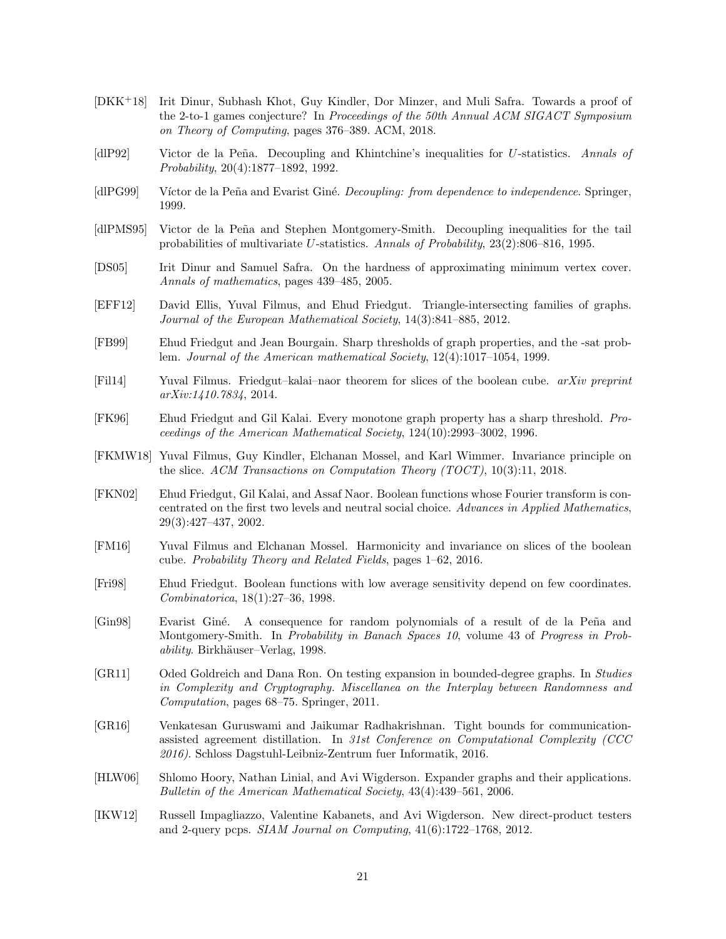- <span id="page-21-4"></span>[DKK+18] Irit Dinur, Subhash Khot, Guy Kindler, Dor Minzer, and Muli Safra. Towards a proof of the 2-to-1 games conjecture? In Proceedings of the 50th Annual ACM SIGACT Symposium on Theory of Computing, pages 376–389. ACM, 2018.
- <span id="page-21-11"></span>[dlP92] Victor de la Peña. Decoupling and Khintchine's inequalities for U-statistics. Annals of Probability, 20(4):1877–1892, 1992.
- <span id="page-21-10"></span>[dlPG99] Víctor de la Peña and Evarist Giné. Decoupling: from dependence to independence. Springer, 1999.
- <span id="page-21-12"></span>[dlPMS95] Victor de la Peña and Stephen Montgomery-Smith. Decoupling inequalities for the tail probabilities of multivariate U-statistics. Annals of Probability, 23(2):806–816, 1995.
- <span id="page-21-1"></span>[DS05] Irit Dinur and Samuel Safra. On the hardness of approximating minimum vertex cover. Annals of mathematics, pages 439–485, 2005.
- <span id="page-21-17"></span>[EFF12] David Ellis, Yuval Filmus, and Ehud Friedgut. Triangle-intersecting families of graphs. Journal of the European Mathematical Society, 14(3):841–885, 2012.
- <span id="page-21-2"></span>[FB99] Ehud Friedgut and Jean Bourgain. Sharp thresholds of graph properties, and the -sat problem. Journal of the American mathematical Society, 12(4):1017–1054, 1999.
- <span id="page-21-5"></span>[Fil14] Yuval Filmus. Friedgut–kalai–naor theorem for slices of the boolean cube. arXiv preprint arXiv:1410.7834, 2014.
- <span id="page-21-16"></span>[FK96] Ehud Friedgut and Gil Kalai. Every monotone graph property has a sharp threshold. Proceedings of the American Mathematical Society, 124(10):2993–3002, 1996.
- <span id="page-21-7"></span>[FKMW18] Yuval Filmus, Guy Kindler, Elchanan Mossel, and Karl Wimmer. Invariance principle on the slice. ACM Transactions on Computation Theory (TOCT), 10(3):11, 2018.
- <span id="page-21-15"></span>[FKN02] Ehud Friedgut, Gil Kalai, and Assaf Naor. Boolean functions whose Fourier transform is concentrated on the first two levels and neutral social choice. Advances in Applied Mathematics, 29(3):427–437, 2002.
- <span id="page-21-6"></span>[FM16] Yuval Filmus and Elchanan Mossel. Harmonicity and invariance on slices of the boolean cube. Probability Theory and Related Fields, pages 1–62, 2016.
- <span id="page-21-14"></span>[Fri98] Ehud Friedgut. Boolean functions with low average sensitivity depend on few coordinates. Combinatorica, 18(1):27–36, 1998.
- <span id="page-21-13"></span>[Gin98] Evarist Giné. A consequence for random polynomials of a result of de la Peña and Montgomery-Smith. In *Probability in Banach Spaces 10*, volume 43 of *Progress in Prob*ability. Birkhäuser–Verlag, 1998.
- <span id="page-21-3"></span>[GR11] Oded Goldreich and Dana Ron. On testing expansion in bounded-degree graphs. In Studies in Complexity and Cryptography. Miscellanea on the Interplay between Randomness and Computation, pages 68–75. Springer, 2011.
- <span id="page-21-9"></span>[GR16] Venkatesan Guruswami and Jaikumar Radhakrishnan. Tight bounds for communicationassisted agreement distillation. In 31st Conference on Computational Complexity (CCC 2016). Schloss Dagstuhl-Leibniz-Zentrum fuer Informatik, 2016.
- <span id="page-21-0"></span>[HLW06] Shlomo Hoory, Nathan Linial, and Avi Wigderson. Expander graphs and their applications. Bulletin of the American Mathematical Society, 43(4):439–561, 2006.
- <span id="page-21-8"></span>[IKW12] Russell Impagliazzo, Valentine Kabanets, and Avi Wigderson. New direct-product testers and 2-query pcps. SIAM Journal on Computing, 41(6):1722–1768, 2012.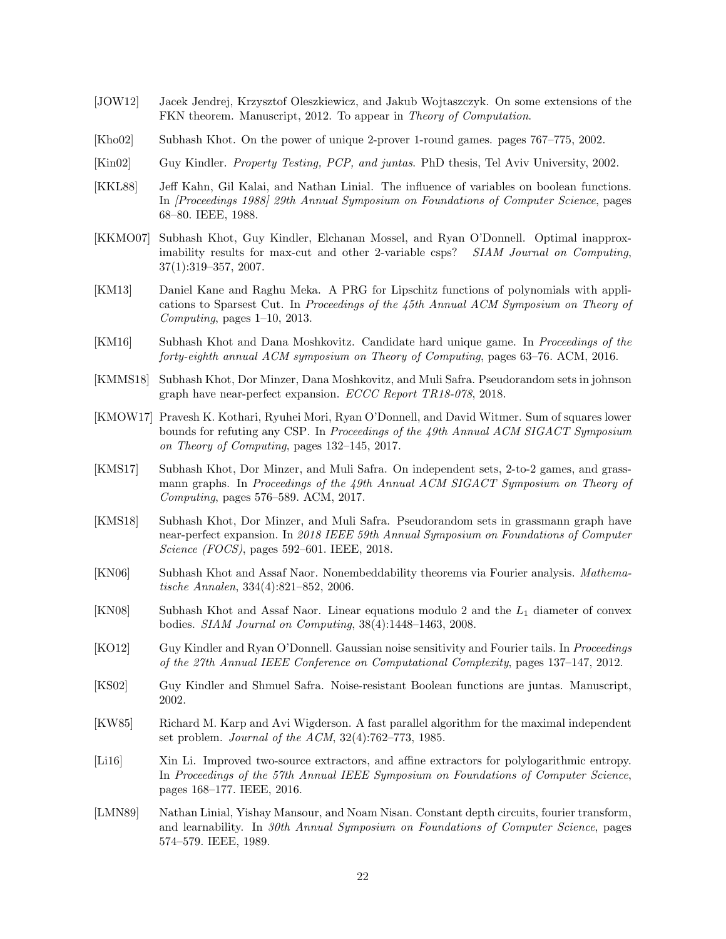- <span id="page-22-9"></span>[JOW12] Jacek Jendrej, Krzysztof Oleszkiewicz, and Jakub Wojtaszczyk. On some extensions of the FKN theorem. Manuscript, 2012. To appear in Theory of Computation.
- <span id="page-22-14"></span>[Kho02] Subhash Khot. On the power of unique 2-prover 1-round games. pages 767–775, 2002.
- <span id="page-22-11"></span>[Kin02] Guy Kindler. Property Testing, PCP, and juntas. PhD thesis, Tel Aviv University, 2002.
- <span id="page-22-2"></span>[KKL88] Jeff Kahn, Gil Kalai, and Nathan Linial. The influence of variables on boolean functions. In [Proceedings 1988] 29th Annual Symposium on Foundations of Computer Science, pages 68–80. IEEE, 1988.
- <span id="page-22-1"></span>[KKMO07] Subhash Khot, Guy Kindler, Elchanan Mossel, and Ryan O'Donnell. Optimal inapproximability results for max-cut and other 2-variable csps? *SIAM Journal on Computing*, 37(1):319–357, 2007.
- <span id="page-22-8"></span>[KM13] Daniel Kane and Raghu Meka. A PRG for Lipschitz functions of polynomials with applications to Sparsest Cut. In Proceedings of the 45th Annual ACM Symposium on Theory of Computing, pages 1–10, 2013.
- <span id="page-22-6"></span>[KM16] Subhash Khot and Dana Moshkovitz. Candidate hard unique game. In Proceedings of the forty-eighth annual ACM symposium on Theory of Computing, pages 63–76. ACM, 2016.
- <span id="page-22-4"></span>[KMMS18] Subhash Khot, Dor Minzer, Dana Moshkovitz, and Muli Safra. Pseudorandom sets in johnson graph have near-perfect expansion. *ECCC Report TR18-078*, 2018.
- <span id="page-22-17"></span>[KMOW17] Pravesh K. Kothari, Ryuhei Mori, Ryan O'Donnell, and David Witmer. Sum of squares lower bounds for refuting any CSP. In Proceedings of the 49th Annual ACM SIGACT Symposium on Theory of Computing, pages 132–145, 2017.
- <span id="page-22-5"></span>[KMS17] Subhash Khot, Dor Minzer, and Muli Safra. On independent sets, 2-to-2 games, and grassmann graphs. In Proceedings of the 49th Annual ACM SIGACT Symposium on Theory of Computing, pages 576–589. ACM, 2017.
- <span id="page-22-3"></span>[KMS18] Subhash Khot, Dor Minzer, and Muli Safra. Pseudorandom sets in grassmann graph have near-perfect expansion. In 2018 IEEE 59th Annual Symposium on Foundations of Computer Science (FOCS), pages 592–601. IEEE, 2018.
- <span id="page-22-12"></span>[KN06] Subhash Khot and Assaf Naor. Nonembeddability theorems via Fourier analysis. Mathematische Annalen, 334(4):821–852, 2006.
- <span id="page-22-7"></span>[KN08] Subhash Khot and Assaf Naor. Linear equations modulo 2 and the  $L_1$  diameter of convex bodies. SIAM Journal on Computing, 38(4):1448–1463, 2008.
- <span id="page-22-13"></span>[KO12] Guy Kindler and Ryan O'Donnell. Gaussian noise sensitivity and Fourier tails. In Proceedings of the 27th Annual IEEE Conference on Computational Complexity, pages 137–147, 2012.
- <span id="page-22-10"></span>[KS02] Guy Kindler and Shmuel Safra. Noise-resistant Boolean functions are juntas. Manuscript, 2002.
- <span id="page-22-15"></span>[KW85] Richard M. Karp and Avi Wigderson. A fast parallel algorithm for the maximal independent set problem. Journal of the ACM, 32(4):762–773, 1985.
- <span id="page-22-16"></span>[Li16] Xin Li. Improved two-source extractors, and affine extractors for polylogarithmic entropy. In Proceedings of the 57th Annual IEEE Symposium on Foundations of Computer Science, pages 168–177. IEEE, 2016.
- <span id="page-22-0"></span>[LMN89] Nathan Linial, Yishay Mansour, and Noam Nisan. Constant depth circuits, fourier transform, and learnability. In 30th Annual Symposium on Foundations of Computer Science, pages 574–579. IEEE, 1989.